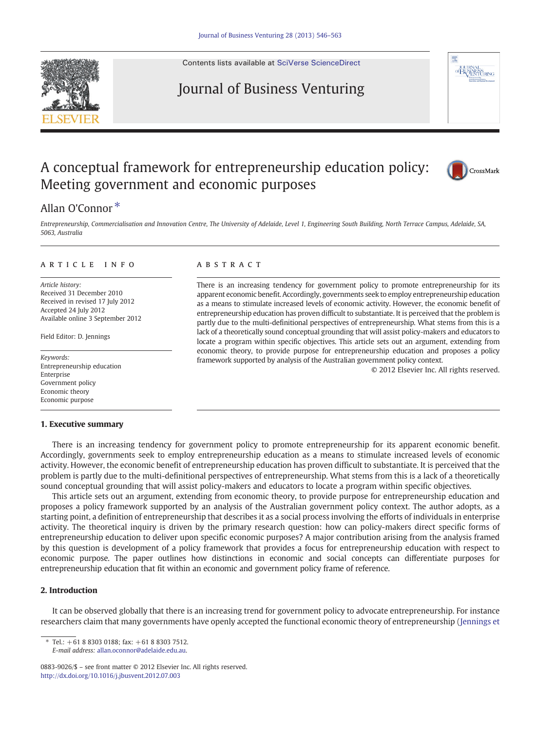Contents lists available at [SciVerse ScienceDirect](http://www.sciencedirect.com/science/journal/08839026)

# Journal of Business Venturing



# A conceptual framework for entrepreneurship education policy: Meeting government and economic purposes



## Allan O'Connor<sup>\*</sup>

Entrepreneurship, Commercialisation and Innovation Centre, The University of Adelaide, Level 1, Engineering South Building, North Terrace Campus, Adelaide, SA, 5063, Australia

#### article info abstract

Article history: Received 31 December 2010 Received in revised 17 July 2012 Accepted 24 July 2012 Available online 3 September 2012

Field Editor: D. Jennings

Keywords: Entrepreneurship education Enterprise Government policy Economic theory Economic purpose

#### 1. Executive summary

There is an increasing tendency for government policy to promote entrepreneurship for its apparent economic benefit. Accordingly, governments seek to employ entrepreneurship education as a means to stimulate increased levels of economic activity. However, the economic benefit of entrepreneurship education has proven difficult to substantiate. It is perceived that the problem is partly due to the multi-definitional perspectives of entrepreneurship. What stems from this is a lack of a theoretically sound conceptual grounding that will assist policy-makers and educators to locate a program within specific objectives. This article sets out an argument, extending from economic theory, to provide purpose for entrepreneurship education and proposes a policy framework supported by analysis of the Australian government policy context.

© 2012 Elsevier Inc. All rights reserved.

There is an increasing tendency for government policy to promote entrepreneurship for its apparent economic benefit. Accordingly, governments seek to employ entrepreneurship education as a means to stimulate increased levels of economic activity. However, the economic benefit of entrepreneurship education has proven difficult to substantiate. It is perceived that the problem is partly due to the multi-definitional perspectives of entrepreneurship. What stems from this is a lack of a theoretically sound conceptual grounding that will assist policy-makers and educators to locate a program within specific objectives.

This article sets out an argument, extending from economic theory, to provide purpose for entrepreneurship education and proposes a policy framework supported by an analysis of the Australian government policy context. The author adopts, as a starting point, a definition of entrepreneurship that describes it as a social process involving the efforts of individuals in enterprise activity. The theoretical inquiry is driven by the primary research question: how can policy-makers direct specific forms of entrepreneurship education to deliver upon specific economic purposes? A major contribution arising from the analysis framed by this question is development of a policy framework that provides a focus for entrepreneurship education with respect to economic purpose. The paper outlines how distinctions in economic and social concepts can differentiate purposes for entrepreneurship education that fit within an economic and government policy frame of reference.

### 2. Introduction

It can be observed globally that there is an increasing trend for government policy to advocate entrepreneurship. For instance researchers claim that many governments have openly accepted the functional economic theory of entrepreneurship [\(Jennings et](#page-16-0)

Tel.:  $+61883030188$ ; fax:  $+61883037512$ .

E-mail address: [allan.oconnor@adelaide.edu.au.](mailto:allan.oconnor@adelaide.edu.au)

<sup>0883-9026/\$</sup> – see front matter © 2012 Elsevier Inc. All rights reserved. <http://dx.doi.org/10.1016/j.jbusvent.2012.07.003>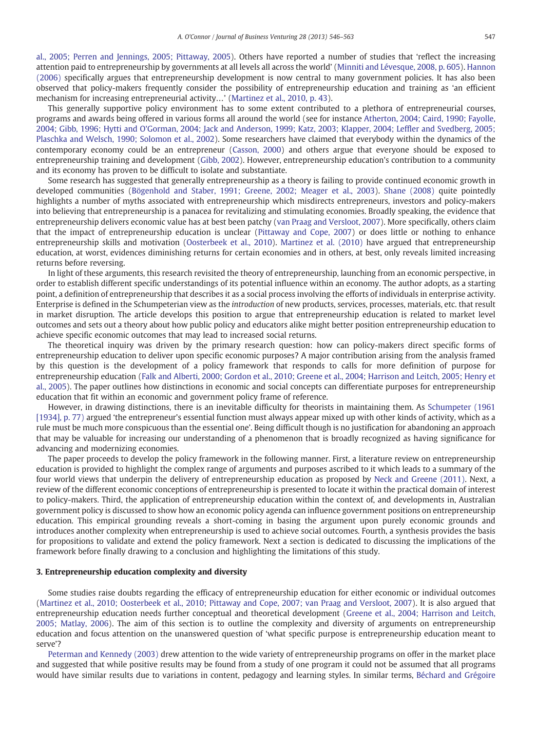[al., 2005; Perren and Jennings, 2005; Pittaway, 2005](#page-16-0)). Others have reported a number of studies that 'reflect the increasing attention paid to entrepreneurship by governments at all levels all across the world' ([Minniti and Lévesque, 2008, p. 605](#page-16-0)). [Hannon](#page-16-0) [\(2006\)](#page-16-0) specifically argues that entrepreneurship development is now central to many government policies. It has also been observed that policy-makers frequently consider the possibility of entrepreneurship education and training as 'an efficient mechanism for increasing entrepreneurial activity…' [\(Martinez et al., 2010, p. 43\)](#page-16-0).

This generally supportive policy environment has to some extent contributed to a plethora of entrepreneurial courses, programs and awards being offered in various forms all around the world (see for instance [Atherton, 2004; Caird, 1990; Fayolle,](#page-15-0) [2004; Gibb, 1996; Hytti and O'Gorman, 2004; Jack and Anderson, 1999; Katz, 2003; Klapper, 2004; Leffler and Svedberg, 2005;](#page-15-0) [Plaschka and Welsch, 1990; Solomon et al., 2002\)](#page-15-0). Some researchers have claimed that everybody within the dynamics of the contemporary economy could be an entrepreneur [\(Casson, 2000](#page-15-0)) and others argue that everyone should be exposed to entrepreneurship training and development ([Gibb, 2002](#page-16-0)). However, entrepreneurship education's contribution to a community and its economy has proven to be difficult to isolate and substantiate.

Some research has suggested that generally entrepreneurship as a theory is failing to provide continued economic growth in developed communities ([Bögenhold and Staber, 1991; Greene, 2002; Meager et al., 2003\)](#page-15-0). [Shane \(2008\)](#page-17-0) quite pointedly highlights a number of myths associated with entrepreneurship which misdirects entrepreneurs, investors and policy-makers into believing that entrepreneurship is a panacea for revitalizing and stimulating economies. Broadly speaking, the evidence that entrepreneurship delivers economic value has at best been patchy [\(van Praag and Versloot, 2007](#page-17-0)). More specifically, others claim that the impact of entrepreneurship education is unclear [\(Pittaway and Cope, 2007](#page-17-0)) or does little or nothing to enhance entrepreneurship skills and motivation [\(Oosterbeek et al., 2010](#page-17-0)). [Martinez et al. \(2010\)](#page-16-0) have argued that entrepreneurship education, at worst, evidences diminishing returns for certain economies and in others, at best, only reveals limited increasing returns before reversing.

In light of these arguments, this research revisited the theory of entrepreneurship, launching from an economic perspective, in order to establish different specific understandings of its potential influence within an economy. The author adopts, as a starting point, a definition of entrepreneurship that describes it as a social process involving the efforts of individuals in enterprise activity. Enterprise is defined in the Schumpeterian view as the introduction of new products, services, processes, materials, etc. that result in market disruption. The article develops this position to argue that entrepreneurship education is related to market level outcomes and sets out a theory about how public policy and educators alike might better position entrepreneurship education to achieve specific economic outcomes that may lead to increased social returns.

The theoretical inquiry was driven by the primary research question: how can policy-makers direct specific forms of entrepreneurship education to deliver upon specific economic purposes? A major contribution arising from the analysis framed by this question is the development of a policy framework that responds to calls for more definition of purpose for entrepreneurship education ([Falk and Alberti, 2000; Gordon et al., 2010; Greene et al., 2004; Harrison and Leitch, 2005; Henry et](#page-16-0) [al., 2005\)](#page-16-0). The paper outlines how distinctions in economic and social concepts can differentiate purposes for entrepreneurship education that fit within an economic and government policy frame of reference.

However, in drawing distinctions, there is an inevitable difficulty for theorists in maintaining them. As [Schumpeter \(1961](#page-17-0) [\[1934\], p. 77\)](#page-17-0) argued 'the entrepreneur's essential function must always appear mixed up with other kinds of activity, which as a rule must be much more conspicuous than the essential one'. Being difficult though is no justification for abandoning an approach that may be valuable for increasing our understanding of a phenomenon that is broadly recognized as having significance for advancing and modernizing economies.

The paper proceeds to develop the policy framework in the following manner. First, a literature review on entrepreneurship education is provided to highlight the complex range of arguments and purposes ascribed to it which leads to a summary of the four world views that underpin the delivery of entrepreneurship education as proposed by [Neck and Greene \(2011\)](#page-17-0). Next, a review of the different economic conceptions of entrepreneurship is presented to locate it within the practical domain of interest to policy-makers. Third, the application of entrepreneurship education within the context of, and developments in, Australian government policy is discussed to show how an economic policy agenda can influence government positions on entrepreneurship education. This empirical grounding reveals a short-coming in basing the argument upon purely economic grounds and introduces another complexity when entrepreneurship is used to achieve social outcomes. Fourth, a synthesis provides the basis for propositions to validate and extend the policy framework. Next a section is dedicated to discussing the implications of the framework before finally drawing to a conclusion and highlighting the limitations of this study.

#### 3. Entrepreneurship education complexity and diversity

Some studies raise doubts regarding the efficacy of entrepreneurship education for either economic or individual outcomes [\(Martinez et al., 2010; Oosterbeek et al., 2010; Pittaway and Cope, 2007; van Praag and Versloot, 2007\)](#page-16-0). It is also argued that entrepreneurship education needs further conceptual and theoretical development ([Greene et al., 2004; Harrison and Leitch,](#page-16-0) [2005; Matlay, 2006](#page-16-0)). The aim of this section is to outline the complexity and diversity of arguments on entrepreneurship education and focus attention on the unanswered question of 'what specific purpose is entrepreneurship education meant to serve'?

[Peterman and Kennedy \(2003\)](#page-17-0) drew attention to the wide variety of entrepreneurship programs on offer in the market place and suggested that while positive results may be found from a study of one program it could not be assumed that all programs would have similar results due to variations in content, pedagogy and learning styles. In similar terms, [Béchard and Grégoire](#page-15-0)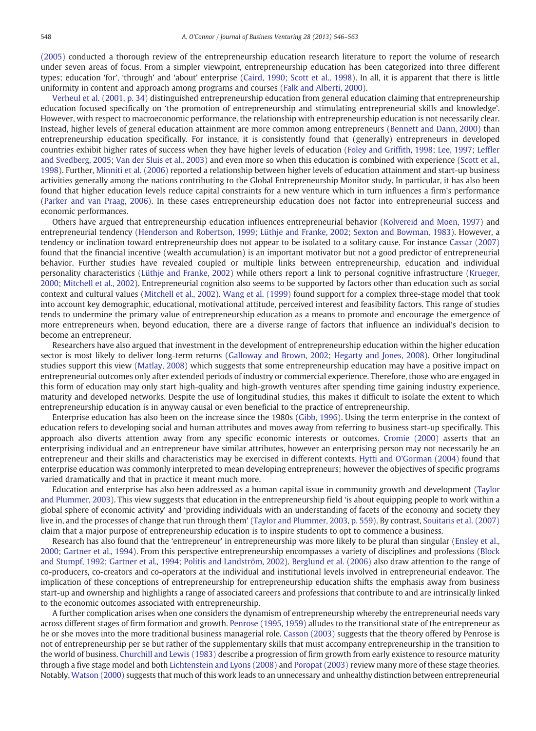[\(2005\)](#page-15-0) conducted a thorough review of the entrepreneurship education research literature to report the volume of research under seven areas of focus. From a simpler viewpoint, entrepreneurship education has been categorized into three different types; education 'for', 'through' and 'about' enterprise [\(Caird, 1990; Scott et al., 1998](#page-15-0)). In all, it is apparent that there is little uniformity in content and approach among programs and courses ([Falk and Alberti, 2000](#page-16-0)).

[Verheul et al. \(2001, p. 34\)](#page-17-0) distinguished entrepreneurship education from general education claiming that entrepreneurship education focused specifically on 'the promotion of entrepreneurship and stimulating entrepreneurial skills and knowledge'. However, with respect to macroeconomic performance, the relationship with entrepreneurship education is not necessarily clear. Instead, higher levels of general education attainment are more common among entrepreneurs [\(Bennett and Dann, 2000\)](#page-15-0) than entrepreneurship education specifically. For instance, it is consistently found that (generally) entrepreneurs in developed countries exhibit higher rates of success when they have higher levels of education ([Foley and Griffith, 1998; Lee, 1997; Leffler](#page-16-0) [and Svedberg, 2005; Van der Sluis et al., 2003](#page-16-0)) and even more so when this education is combined with experience ([Scott et al.,](#page-17-0) [1998](#page-17-0)). Further, [Minniti et al. \(2006\)](#page-16-0) reported a relationship between higher levels of education attainment and start-up business activities generally among the nations contributing to the Global Entrepreneurship Monitor study. In particular, it has also been found that higher education levels reduce capital constraints for a new venture which in turn influences a firm's performance ([Parker and van Praag, 2006](#page-17-0)). In these cases entrepreneurship education does not factor into entrepreneurial success and economic performances.

Others have argued that entrepreneurship education influences entrepreneurial behavior ([Kolvereid and Moen, 1997\)](#page-16-0) and entrepreneurial tendency ([Henderson and Robertson, 1999; Lüthje and Franke, 2002; Sexton and Bowman, 1983\)](#page-16-0). However, a tendency or inclination toward entrepreneurship does not appear to be isolated to a solitary cause. For instance [Cassar \(2007\)](#page-15-0) found that the financial incentive (wealth accumulation) is an important motivator but not a good predictor of entrepreneurial behavior. Further studies have revealed coupled or multiple links between entrepreneurship, education and individual personality characteristics ([Lüthje and Franke, 2002\)](#page-16-0) while others report a link to personal cognitive infrastructure ([Krueger,](#page-16-0) [2000; Mitchell et al., 2002\)](#page-16-0). Entrepreneurial cognition also seems to be supported by factors other than education such as social context and cultural values [\(Mitchell et al., 2002\)](#page-16-0). [Wang et al. \(1999\)](#page-17-0) found support for a complex three-stage model that took into account key demographic, educational, motivational attitude, perceived interest and feasibility factors. This range of studies tends to undermine the primary value of entrepreneurship education as a means to promote and encourage the emergence of more entrepreneurs when, beyond education, there are a diverse range of factors that influence an individual's decision to become an entrepreneur.

Researchers have also argued that investment in the development of entrepreneurship education within the higher education sector is most likely to deliver long-term returns [\(Galloway and Brown, 2002; Hegarty and Jones, 2008\)](#page-16-0). Other longitudinal studies support this view ([Matlay, 2008](#page-16-0)) which suggests that some entrepreneurship education may have a positive impact on entrepreneurial outcomes only after extended periods of industry or commercial experience. Therefore, those who are engaged in this form of education may only start high-quality and high-growth ventures after spending time gaining industry experience, maturity and developed networks. Despite the use of longitudinal studies, this makes it difficult to isolate the extent to which entrepreneurship education is in anyway causal or even beneficial to the practice of entrepreneurship.

Enterprise education has also been on the increase since the 1980s [\(Gibb, 1996\)](#page-16-0). Using the term enterprise in the context of education refers to developing social and human attributes and moves away from referring to business start-up specifically. This approach also diverts attention away from any specific economic interests or outcomes. [Cromie \(2000\)](#page-15-0) asserts that an enterprising individual and an entrepreneur have similar attributes, however an enterprising person may not necessarily be an entrepreneur and their skills and characteristics may be exercised in different contexts. [Hytti and O'Gorman \(2004\)](#page-16-0) found that enterprise education was commonly interpreted to mean developing entrepreneurs; however the objectives of specific programs varied dramatically and that in practice it meant much more.

Education and enterprise has also been addressed as a human capital issue in community growth and development ([Taylor](#page-17-0) [and Plummer, 2003](#page-17-0)). This view suggests that education in the entrepreneurship field 'is about equipping people to work within a global sphere of economic activity' and 'providing individuals with an understanding of facets of the economy and society they live in, and the processes of change that run through them' ([Taylor and Plummer, 2003, p. 559\)](#page-17-0). By contrast, [Souitaris et al. \(2007\)](#page-17-0) claim that a major purpose of entrepreneurship education is to inspire students to opt to commence a business.

Research has also found that the 'entrepreneur' in entrepreneurship was more likely to be plural than singular [\(Ensley et al.,](#page-16-0) [2000; Gartner et al., 1994\)](#page-16-0). From this perspective entrepreneurship encompasses a variety of disciplines and professions ([Block](#page-15-0) [and Stumpf, 1992; Gartner et al., 1994; Politis and Landström, 2002\)](#page-15-0). [Berglund et al. \(2006\)](#page-15-0) also draw attention to the range of co-producers, co-creators and co-operators at the individual and institutional levels involved in entrepreneurial endeavor. The implication of these conceptions of entrepreneurship for entrepreneurship education shifts the emphasis away from business start-up and ownership and highlights a range of associated careers and professions that contribute to and are intrinsically linked to the economic outcomes associated with entrepreneurship.

A further complication arises when one considers the dynamism of entrepreneurship whereby the entrepreneurial needs vary across different stages of firm formation and growth. [Penrose \(1995, 1959\)](#page-17-0) alludes to the transitional state of the entrepreneur as he or she moves into the more traditional business managerial role. [Casson \(2003\)](#page-15-0) suggests that the theory offered by Penrose is not of entrepreneurship per se but rather of the supplementary skills that must accompany entrepreneurship in the transition to the world of business. [Churchill and Lewis \(1983\)](#page-15-0) describe a progression of firm growth from early existence to resource maturity through a five stage model and both [Lichtenstein and Lyons \(2008\)](#page-16-0) and [Poropat \(2003\)](#page-17-0) review many more of these stage theories. Notably, [Watson \(2000\)](#page-17-0) suggests that much of this work leads to an unnecessary and unhealthy distinction between entrepreneurial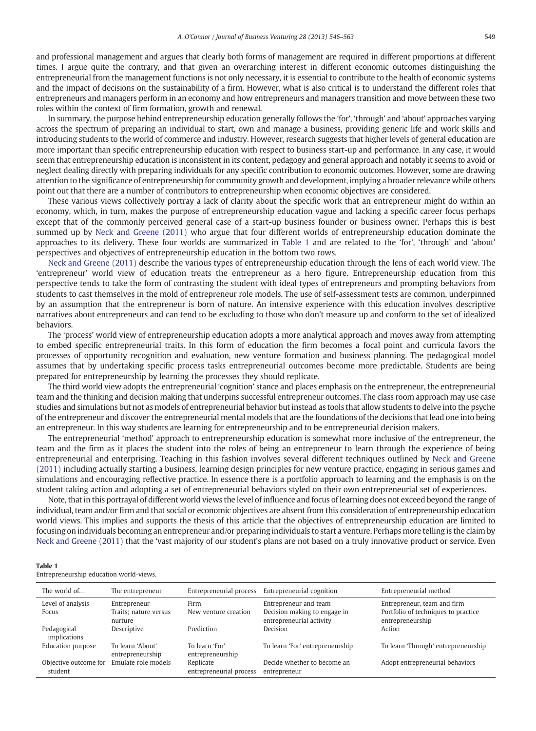and professional management and argues that clearly both forms of management are required in different proportions at different times. I argue quite the contrary, and that given an overarching interest in different economic outcomes distinguishing the entrepreneurial from the management functions is not only necessary, it is essential to contribute to the health of economic systems and the impact of decisions on the sustainability of a firm. However, what is also critical is to understand the different roles that entrepreneurs and managers perform in an economy and how entrepreneurs and managers transition and move between these two roles within the context of firm formation, growth and renewal.

In summary, the purpose behind entrepreneurship education generally follows the 'for', 'through' and 'about' approaches varying across the spectrum of preparing an individual to start, own and manage a business, providing generic life and work skills and introducing students to the world of commerce and industry. However, research suggests that higher levels of general education are more important than specific entrepreneurship education with respect to business start-up and performance. In any case, it would seem that entrepreneurship education is inconsistent in its content, pedagogy and general approach and notably it seems to avoid or neglect dealing directly with preparing individuals for any specific contribution to economic outcomes. However, some are drawing attention to the significance of entrepreneurship for community growth and development, implying a broader relevance while others point out that there are a number of contributors to entrepreneurship when economic objectives are considered.

These various views collectively portray a lack of clarity about the specific work that an entrepreneur might do within an economy, which, in turn, makes the purpose of entrepreneurship education vague and lacking a specific career focus perhaps except that of the commonly perceived general case of a start-up business founder or business owner. Perhaps this is best summed up by [Neck and Greene \(2011\)](#page-17-0) who argue that four different worlds of entrepreneurship education dominate the approaches to its delivery. These four worlds are summarized in Table 1 and are related to the 'for', 'through' and 'about' perspectives and objectives of entrepreneurship education in the bottom two rows.

[Neck and Greene \(2011\)](#page-17-0) describe the various types of entrepreneurship education through the lens of each world view. The 'entrepreneur' world view of education treats the entrepreneur as a hero figure. Entrepreneurship education from this perspective tends to take the form of contrasting the student with ideal types of entrepreneurs and prompting behaviors from students to cast themselves in the mold of entrepreneur role models. The use of self-assessment tests are common, underpinned by an assumption that the entrepreneur is born of nature. An intensive experience with this education involves descriptive narratives about entrepreneurs and can tend to be excluding to those who don't measure up and conform to the set of idealized behaviors.

The 'process' world view of entrepreneurship education adopts a more analytical approach and moves away from attempting to embed specific entrepreneurial traits. In this form of education the firm becomes a focal point and curricula favors the processes of opportunity recognition and evaluation, new venture formation and business planning. The pedagogical model assumes that by undertaking specific process tasks entrepreneurial outcomes become more predictable. Students are being prepared for entrepreneurship by learning the processes they should replicate.

The third world view adopts the entrepreneurial 'cognition' stance and places emphasis on the entrepreneur, the entrepreneurial team and the thinking and decision making that underpins successful entrepreneur outcomes. The class room approach may use case studies and simulations but not as models of entrepreneurial behavior but instead as tools that allow students to delve into the psyche of the entrepreneur and discover the entrepreneurial mental models that are the foundations of the decisions that lead one into being an entrepreneur. In this way students are learning for entrepreneurship and to be entrepreneurial decision makers.

The entrepreneurial 'method' approach to entrepreneurship education is somewhat more inclusive of the entrepreneur, the team and the firm as it places the student into the roles of being an entrepreneur to learn through the experience of being entrepreneurial and enterprising. Teaching in this fashion involves several different techniques outlined by [Neck and Greene](#page-17-0) [\(2011\)](#page-17-0) including actually starting a business, learning design principles for new venture practice, engaging in serious games and simulations and encouraging reflective practice. In essence there is a portfolio approach to learning and the emphasis is on the student taking action and adopting a set of entrepreneurial behaviors styled on their own entrepreneurial set of experiences.

Note, that in this portrayal of different world views the level of influence and focus of learning does not exceed beyond the range of individual, team and/or firm and that social or economic objectives are absent from this consideration of entrepreneurship education world views. This implies and supports the thesis of this article that the objectives of entrepreneurship education are limited to focusing on individuals becoming an entrepreneur and/or preparing individuals to start a venture. Perhaps more telling is the claim by [Neck and Greene \(2011\)](#page-17-0) that the 'vast majority of our student's plans are not based on a truly innovative product or service. Even

Entrepreneurship education world-views.

| The world of                                         | The entrepreneur                                 | Entrepreneurial process              | Entrepreneurial cognition                                                         | Entrepreneurial method                                                                 |
|------------------------------------------------------|--------------------------------------------------|--------------------------------------|-----------------------------------------------------------------------------------|----------------------------------------------------------------------------------------|
| Level of analysis<br>Focus                           | Entrepreneur<br>Traits: nature versus<br>nurture | Firm<br>New venture creation         | Entrepreneur and team<br>Decision making to engage in<br>entrepreneurial activity | Entrepreneur, team and firm<br>Portfolio of techniques to practice<br>entrepreneurship |
| Pedagogical<br>implications                          | Descriptive                                      | Prediction                           | Decision                                                                          | Action                                                                                 |
| <b>Education purpose</b>                             | To learn 'About'<br>entrepreneurship             | To learn 'For'<br>entrepreneurship   | To learn 'For' entrepreneurship                                                   | To learn 'Through' entrepreneurship                                                    |
| Objective outcome for Emulate role models<br>student |                                                  | Replicate<br>entrepreneurial process | Decide whether to become an<br>entrepreneur                                       | Adopt entrepreneurial behaviors                                                        |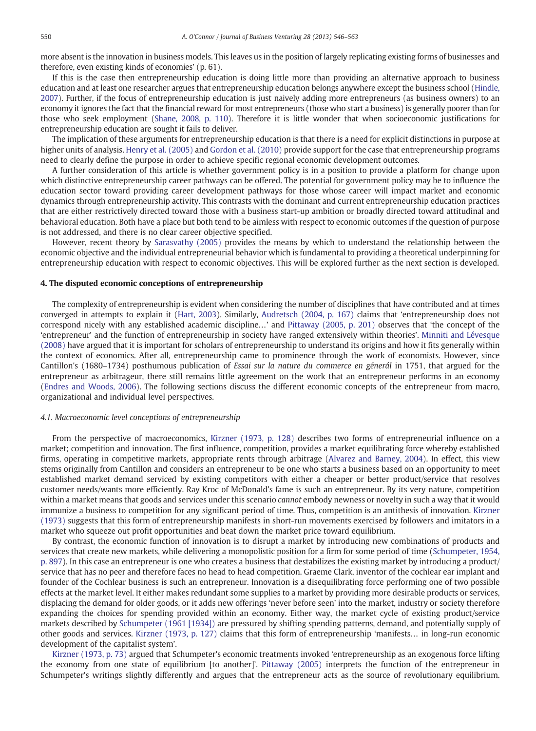more absent is the innovation in business models. This leaves us in the position of largely replicating existing forms of businesses and therefore, even existing kinds of economies' (p. 61).

If this is the case then entrepreneurship education is doing little more than providing an alternative approach to business education and at least one researcher argues that entrepreneurship education belongs anywhere except the business school [\(Hindle,](#page-16-0) [2007](#page-16-0)). Further, if the focus of entrepreneurship education is just naively adding more entrepreneurs (as business owners) to an economy it ignores the fact that the financial reward for most entrepreneurs (those who start a business) is generally poorer than for those who seek employment [\(Shane, 2008, p. 110\)](#page-17-0). Therefore it is little wonder that when socioeconomic justifications for entrepreneurship education are sought it fails to deliver.

The implication of these arguments for entrepreneurship education is that there is a need for explicit distinctions in purpose at higher units of analysis. [Henry et al. \(2005\)](#page-16-0) and [Gordon et al. \(2010\)](#page-16-0) provide support for the case that entrepreneurship programs need to clearly define the purpose in order to achieve specific regional economic development outcomes.

A further consideration of this article is whether government policy is in a position to provide a platform for change upon which distinctive entrepreneurship career pathways can be offered. The potential for government policy may be to influence the education sector toward providing career development pathways for those whose career will impact market and economic dynamics through entrepreneurship activity. This contrasts with the dominant and current entrepreneurship education practices that are either restrictively directed toward those with a business start-up ambition or broadly directed toward attitudinal and behavioral education. Both have a place but both tend to be aimless with respect to economic outcomes if the question of purpose is not addressed, and there is no clear career objective specified.

However, recent theory by [Sarasvathy \(2005\)](#page-17-0) provides the means by which to understand the relationship between the economic objective and the individual entrepreneurial behavior which is fundamental to providing a theoretical underpinning for entrepreneurship education with respect to economic objectives. This will be explored further as the next section is developed.

#### 4. The disputed economic conceptions of entrepreneurship

The complexity of entrepreneurship is evident when considering the number of disciplines that have contributed and at times converged in attempts to explain it ([Hart, 2003\)](#page-16-0). Similarly, [Audretsch \(2004, p. 167\)](#page-15-0) claims that 'entrepreneurship does not correspond nicely with any established academic discipline…' and [Pittaway \(2005, p. 201\)](#page-17-0) observes that 'the concept of the 'entrepreneur' and the function of entrepreneurship in society have ranged extensively within theories'. [Minniti and Lévesque](#page-16-0) [\(2008\)](#page-16-0) have argued that it is important for scholars of entrepreneurship to understand its origins and how it fits generally within the context of economics. After all, entrepreneurship came to prominence through the work of economists. However, since Cantillon's (1680–1734) posthumous publication of Essai sur la nature du commerce en génerál in 1751, that argued for the entrepreneur as arbitrageur, there still remains little agreement on the work that an entrepreneur performs in an economy ([Endres and Woods, 2006](#page-16-0)). The following sections discuss the different economic concepts of the entrepreneur from macro, organizational and individual level perspectives.

#### 4.1. Macroeconomic level conceptions of entrepreneurship

From the perspective of macroeconomics, [Kirzner \(1973, p. 128\)](#page-16-0) describes two forms of entrepreneurial influence on a market; competition and innovation. The first influence, competition, provides a market equilibrating force whereby established firms, operating in competitive markets, appropriate rents through arbitrage ([Alvarez and Barney, 2004](#page-15-0)). In effect, this view stems originally from Cantillon and considers an entrepreneur to be one who starts a business based on an opportunity to meet established market demand serviced by existing competitors with either a cheaper or better product/service that resolves customer needs/wants more efficiently. Ray Kroc of McDonald's fame is such an entrepreneur. By its very nature, competition within a market means that goods and services under this scenario *cannot* embody newness or novelty in such a way that it would immunize a business to competition for any significant period of time. Thus, competition is an antithesis of innovation. [Kirzner](#page-16-0) [\(1973\)](#page-16-0) suggests that this form of entrepreneurship manifests in short-run movements exercised by followers and imitators in a market who squeeze out profit opportunities and beat down the market price toward equilibrium.

By contrast, the economic function of innovation is to disrupt a market by introducing new combinations of products and services that create new markets, while delivering a monopolistic position for a firm for some period of time ([Schumpeter, 1954,](#page-17-0) [p. 897](#page-17-0)). In this case an entrepreneur is one who creates a business that destabilizes the existing market by introducing a product/ service that has no peer and therefore faces no head to head competition. Graeme Clark, inventor of the cochlear ear implant and founder of the Cochlear business is such an entrepreneur. Innovation is a disequilibrating force performing one of two possible effects at the market level. It either makes redundant some supplies to a market by providing more desirable products or services, displacing the demand for older goods, or it adds new offerings 'never before seen' into the market, industry or society therefore expanding the choices for spending provided within an economy. Either way, the market cycle of existing product/service markets described by [Schumpeter \(1961 \[1934\]\)](#page-17-0) are pressured by shifting spending patterns, demand, and potentially supply of other goods and services. [Kirzner \(1973, p. 127\)](#page-16-0) claims that this form of entrepreneurship 'manifests… in long-run economic development of the capitalist system'.

[Kirzner \(1973, p. 73\)](#page-16-0) argued that Schumpeter's economic treatments invoked 'entrepreneurship as an exogenous force lifting the economy from one state of equilibrium [to another]'. [Pittaway \(2005\)](#page-17-0) interprets the function of the entrepreneur in Schumpeter's writings slightly differently and argues that the entrepreneur acts as the source of revolutionary equilibrium.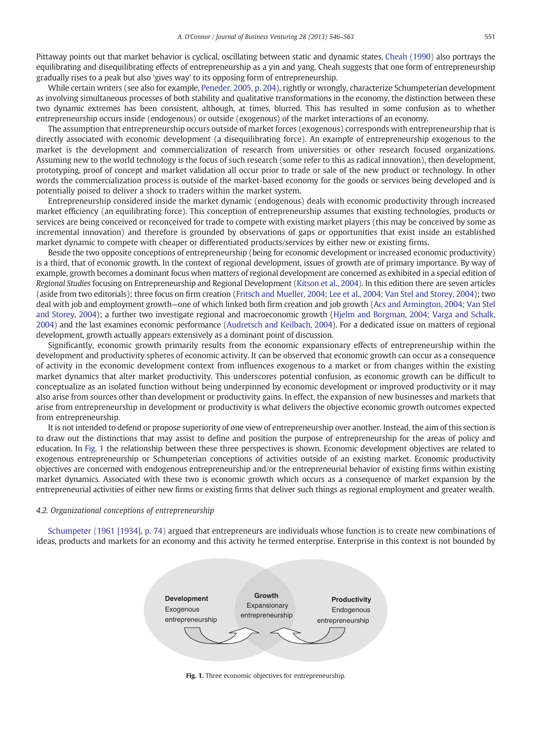Pittaway points out that market behavior is cyclical, oscillating between static and dynamic states. [Cheah \(1990\)](#page-15-0) also portrays the equilibrating and disequilibrating effects of entrepreneurship as a yin and yang. Cheah suggests that one form of entrepreneurship gradually rises to a peak but also 'gives way' to its opposing form of entrepreneurship.

While certain writers (see also for example, [Peneder, 2005, p. 204](#page-17-0)), rightly or wrongly, characterize Schumpeterian development as involving simultaneous processes of both stability and qualitative transformations in the economy, the distinction between these two dynamic extremes has been consistent, although, at times, blurred. This has resulted in some confusion as to whether entrepreneurship occurs inside (endogenous) or outside (exogenous) of the market interactions of an economy.

The assumption that entrepreneurship occurs outside of market forces (exogenous) corresponds with entrepreneurship that is directly associated with economic development (a disequilibrating force). An example of entrepreneurship exogenous to the market is the development and commercialization of research from universities or other research focused organizations. Assuming new to the world technology is the focus of such research (some refer to this as radical innovation), then development, prototyping, proof of concept and market validation all occur prior to trade or sale of the new product or technology. In other words the commercialization process is outside of the market-based economy for the goods or services being developed and is potentially poised to deliver a shock to traders within the market system.

Entrepreneurship considered inside the market dynamic (endogenous) deals with economic productivity through increased market efficiency (an equilibrating force). This conception of entrepreneurship assumes that existing technologies, products or services are being conceived or reconceived for trade to compete with existing market players (this may be conceived by some as incremental innovation) and therefore is grounded by observations of gaps or opportunities that exist inside an established market dynamic to compete with cheaper or differentiated products/services by either new or existing firms.

Beside the two opposite conceptions of entrepreneurship (being for economic development or increased economic productivity) is a third, that of economic growth. In the context of regional development, issues of growth are of primary importance. By way of example, growth becomes a dominant focus when matters of regional development are concerned as exhibited in a special edition of Regional Studies focusing on Entrepreneurship and Regional Development [\(Kitson et al., 2004\)](#page-16-0). In this edition there are seven articles (aside from two editorials); three focus on firm creation ([Fritsch and Mueller, 2004; Lee et al., 2004; Van Stel and Storey, 2004](#page-16-0)); two deal with job and employment growth—one of which linked both firm creation and job growth ([Acs and Armington, 2004; Van Stel](#page-15-0) [and Storey, 2004\)](#page-15-0); a further two investigate regional and macroeconomic growth ([Hjelm and Borgman, 2004; Varga and Schalk,](#page-16-0) [2004\)](#page-16-0) and the last examines economic performance [\(Audretsch and Keilbach, 2004](#page-15-0)). For a dedicated issue on matters of regional development, growth actually appears extensively as a dominant point of discussion.

Significantly, economic growth primarily results from the economic expansionary effects of entrepreneurship within the development and productivity spheres of economic activity. It can be observed that economic growth can occur as a consequence of activity in the economic development context from influences exogenous to a market or from changes within the existing market dynamics that alter market productivity. This underscores potential confusion, as economic growth can be difficult to conceptualize as an isolated function without being underpinned by economic development or improved productivity or it may also arise from sources other than development or productivity gains. In effect, the expansion of new businesses and markets that arise from entrepreneurship in development or productivity is what delivers the objective economic growth outcomes expected from entrepreneurship.

It is not intended to defend or propose superiority of one view of entrepreneurship over another. Instead, the aim of this section is to draw out the distinctions that may assist to define and position the purpose of entrepreneurship for the areas of policy and education. In Fig. 1 the relationship between these three perspectives is shown. Economic development objectives are related to exogenous entrepreneurship or Schumpeterian conceptions of activities outside of an existing market. Economic productivity objectives are concerned with endogenous entrepreneurship and/or the entrepreneurial behavior of existing firms within existing market dynamics. Associated with these two is economic growth which occurs as a consequence of market expansion by the entrepreneurial activities of either new firms or existing firms that deliver such things as regional employment and greater wealth.

#### 4.2. Organizational conceptions of entrepreneurship

[Schumpeter \(1961 \[1934\], p. 74\)](#page-17-0) argued that entrepreneurs are individuals whose function is to create new combinations of ideas, products and markets for an economy and this activity he termed enterprise. Enterprise in this context is not bounded by



Fig. 1. Three economic objectives for entrepreneurship.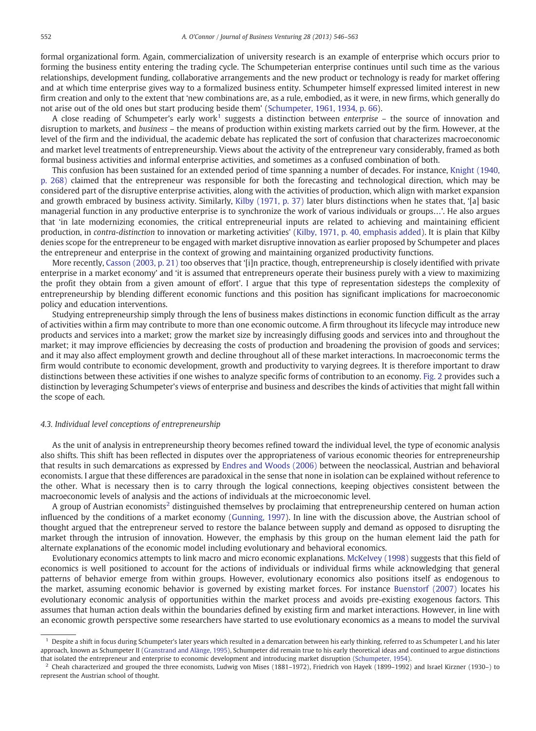formal organizational form. Again, commercialization of university research is an example of enterprise which occurs prior to forming the business entity entering the trading cycle. The Schumpeterian enterprise continues until such time as the various relationships, development funding, collaborative arrangements and the new product or technology is ready for market offering and at which time enterprise gives way to a formalized business entity. Schumpeter himself expressed limited interest in new firm creation and only to the extent that 'new combinations are, as a rule, embodied, as it were, in new firms, which generally do not arise out of the old ones but start producing beside them' [\(Schumpeter, 1961, 1934, p. 66](#page-17-0)).

A close reading of Schumpeter's early work<sup>1</sup> suggests a distinction between enterprise – the source of innovation and disruption to markets, and business – the means of production within existing markets carried out by the firm. However, at the level of the firm and the individual, the academic debate has replicated the sort of confusion that characterizes macroeconomic and market level treatments of entrepreneurship. Views about the activity of the entrepreneur vary considerably, framed as both formal business activities and informal enterprise activities, and sometimes as a confused combination of both.

This confusion has been sustained for an extended period of time spanning a number of decades. For instance, [Knight \(1940,](#page-16-0) [p. 268\)](#page-16-0) claimed that the entrepreneur was responsible for both the forecasting and technological direction, which may be considered part of the disruptive enterprise activities, along with the activities of production, which align with market expansion and growth embraced by business activity. Similarly, [Kilby \(1971, p. 37\)](#page-16-0) later blurs distinctions when he states that, '[a] basic managerial function in any productive enterprise is to synchronize the work of various individuals or groups…'. He also argues that 'in late modernizing economies, the critical entrepreneurial inputs are related to achieving and maintaining efficient production, in contra-distinction to innovation or marketing activities' [\(Kilby, 1971, p. 40, emphasis added\)](#page-16-0). It is plain that Kilby denies scope for the entrepreneur to be engaged with market disruptive innovation as earlier proposed by Schumpeter and places the entrepreneur and enterprise in the context of growing and maintaining organized productivity functions.

More recently, [Casson \(2003, p. 21\)](#page-15-0) too observes that '[i]n practice, though, entrepreneurship is closely identified with private enterprise in a market economy' and 'it is assumed that entrepreneurs operate their business purely with a view to maximizing the profit they obtain from a given amount of effort'. I argue that this type of representation sidesteps the complexity of entrepreneurship by blending different economic functions and this position has significant implications for macroeconomic policy and education interventions.

Studying entrepreneurship simply through the lens of business makes distinctions in economic function difficult as the array of activities within a firm may contribute to more than one economic outcome. A firm throughout its lifecycle may introduce new products and services into a market; grow the market size by increasingly diffusing goods and services into and throughout the market; it may improve efficiencies by decreasing the costs of production and broadening the provision of goods and services; and it may also affect employment growth and decline throughout all of these market interactions. In macroeconomic terms the firm would contribute to economic development, growth and productivity to varying degrees. It is therefore important to draw distinctions between these activities if one wishes to analyze specific forms of contribution to an economy. [Fig. 2](#page-7-0) provides such a distinction by leveraging Schumpeter's views of enterprise and business and describes the kinds of activities that might fall within the scope of each.

#### 4.3. Individual level conceptions of entrepreneurship

As the unit of analysis in entrepreneurship theory becomes refined toward the individual level, the type of economic analysis also shifts. This shift has been reflected in disputes over the appropriateness of various economic theories for entrepreneurship that results in such demarcations as expressed by [Endres and Woods \(2006\)](#page-16-0) between the neoclassical, Austrian and behavioral economists. I argue that these differences are paradoxical in the sense that none in isolation can be explained without reference to the other. What is necessary then is to carry through the logical connections, keeping objectives consistent between the macroeconomic levels of analysis and the actions of individuals at the microeconomic level.

A group of Austrian economists<sup>2</sup> distinguished themselves by proclaiming that entrepreneurship centered on human action influenced by the conditions of a market economy [\(Gunning, 1997\)](#page-16-0). In line with the discussion above, the Austrian school of thought argued that the entrepreneur served to restore the balance between supply and demand as opposed to disrupting the market through the intrusion of innovation. However, the emphasis by this group on the human element laid the path for alternate explanations of the economic model including evolutionary and behavioral economics.

Evolutionary economics attempts to link macro and micro economic explanations. [McKelvey \(1998\)](#page-16-0) suggests that this field of economics is well positioned to account for the actions of individuals or individual firms while acknowledging that general patterns of behavior emerge from within groups. However, evolutionary economics also positions itself as endogenous to the market, assuming economic behavior is governed by existing market forces. For instance [Buenstorf \(2007\)](#page-15-0) locates his evolutionary economic analysis of opportunities within the market process and avoids pre-existing exogenous factors. This assumes that human action deals within the boundaries defined by existing firm and market interactions. However, in line with an economic growth perspective some researchers have started to use evolutionary economics as a means to model the survival

 $<sup>1</sup>$  Despite a shift in focus during Schumpeter's later years which resulted in a demarcation between his early thinking, referred to as Schumpeter I, and his later</sup> approach, known as Schumpeter II [\(Granstrand and Alänge, 1995\)](#page-16-0), Schumpeter did remain true to his early theoretical ideas and continued to argue distinctions that isolated the entrepreneur and enterprise to economic development and introducing market disruption ([Schumpeter, 1954\)](#page-17-0).

<sup>2</sup> Cheah characterized and grouped the three economists, Ludwig von Mises (1881–1972), Friedrich von Hayek (1899–1992) and Israel Kirzner (1930–) to represent the Austrian school of thought.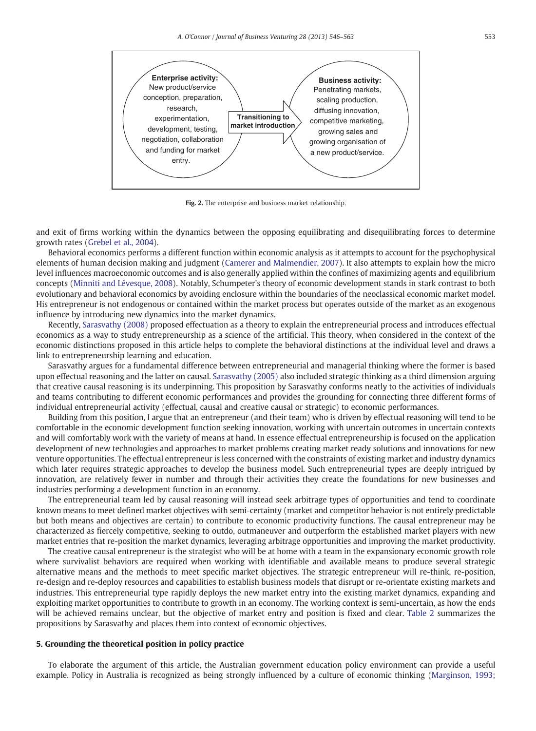<span id="page-7-0"></span>

Fig. 2. The enterprise and business market relationship.

and exit of firms working within the dynamics between the opposing equilibrating and disequilibrating forces to determine growth rates [\(Grebel et al., 2004\)](#page-16-0).

Behavioral economics performs a different function within economic analysis as it attempts to account for the psychophysical elements of human decision making and judgment ([Camerer and Malmendier, 2007](#page-15-0)). It also attempts to explain how the micro level influences macroeconomic outcomes and is also generally applied within the confines of maximizing agents and equilibrium concepts ([Minniti and Lévesque, 2008](#page-16-0)). Notably, Schumpeter's theory of economic development stands in stark contrast to both evolutionary and behavioral economics by avoiding enclosure within the boundaries of the neoclassical economic market model. His entrepreneur is not endogenous or contained within the market process but operates outside of the market as an exogenous influence by introducing new dynamics into the market dynamics.

Recently, [Sarasvathy \(2008\)](#page-17-0) proposed effectuation as a theory to explain the entrepreneurial process and introduces effectual economics as a way to study entrepreneurship as a science of the artificial. This theory, when considered in the context of the economic distinctions proposed in this article helps to complete the behavioral distinctions at the individual level and draws a link to entrepreneurship learning and education.

Sarasvathy argues for a fundamental difference between entrepreneurial and managerial thinking where the former is based upon effectual reasoning and the latter on causal. [Sarasvathy \(2005\)](#page-17-0) also included strategic thinking as a third dimension arguing that creative causal reasoning is its underpinning. This proposition by Sarasvathy conforms neatly to the activities of individuals and teams contributing to different economic performances and provides the grounding for connecting three different forms of individual entrepreneurial activity (effectual, causal and creative causal or strategic) to economic performances.

Building from this position, I argue that an entrepreneur (and their team) who is driven by effectual reasoning will tend to be comfortable in the economic development function seeking innovation, working with uncertain outcomes in uncertain contexts and will comfortably work with the variety of means at hand. In essence effectual entrepreneurship is focused on the application development of new technologies and approaches to market problems creating market ready solutions and innovations for new venture opportunities. The effectual entrepreneur is less concerned with the constraints of existing market and industry dynamics which later requires strategic approaches to develop the business model. Such entrepreneurial types are deeply intrigued by innovation, are relatively fewer in number and through their activities they create the foundations for new businesses and industries performing a development function in an economy.

The entrepreneurial team led by causal reasoning will instead seek arbitrage types of opportunities and tend to coordinate known means to meet defined market objectives with semi-certainty (market and competitor behavior is not entirely predictable but both means and objectives are certain) to contribute to economic productivity functions. The causal entrepreneur may be characterized as fiercely competitive, seeking to outdo, outmaneuver and outperform the established market players with new market entries that re-position the market dynamics, leveraging arbitrage opportunities and improving the market productivity.

The creative causal entrepreneur is the strategist who will be at home with a team in the expansionary economic growth role where survivalist behaviors are required when working with identifiable and available means to produce several strategic alternative means and the methods to meet specific market objectives. The strategic entrepreneur will re-think, re-position, re-design and re-deploy resources and capabilities to establish business models that disrupt or re-orientate existing markets and industries. This entrepreneurial type rapidly deploys the new market entry into the existing market dynamics, expanding and exploiting market opportunities to contribute to growth in an economy. The working context is semi-uncertain, as how the ends will be achieved remains unclear, but the objective of market entry and position is fixed and clear. [Table 2](#page-8-0) summarizes the propositions by Sarasvathy and places them into context of economic objectives.

#### 5. Grounding the theoretical position in policy practice

To elaborate the argument of this article, the Australian government education policy environment can provide a useful example. Policy in Australia is recognized as being strongly influenced by a culture of economic thinking [\(Marginson, 1993;](#page-16-0)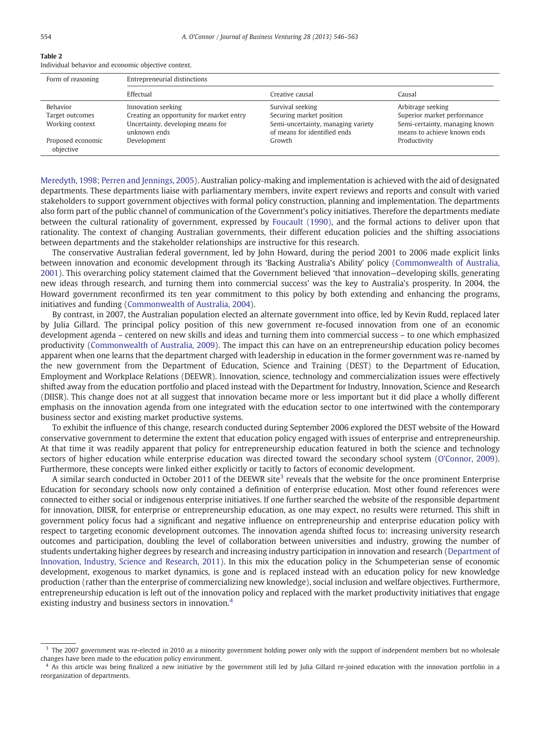<span id="page-8-0"></span>

| Table 2                                             |  |  |  |
|-----------------------------------------------------|--|--|--|
| Individual behavior and economic objective context. |  |  |  |

| Form of reasoning                              | Entrepreneurial distinctions                                                                                        |                                                                                                                    |                                                                                                                   |  |
|------------------------------------------------|---------------------------------------------------------------------------------------------------------------------|--------------------------------------------------------------------------------------------------------------------|-------------------------------------------------------------------------------------------------------------------|--|
|                                                | Effectual                                                                                                           | Creative causal                                                                                                    | Causal                                                                                                            |  |
| Behavior<br>Target outcomes<br>Working context | Innovation seeking<br>Creating an opportunity for market entry<br>Uncertainty, developing means for<br>unknown ends | Survival seeking<br>Securing market position<br>Semi-uncertainty, managing variety<br>of means for identified ends | Arbitrage seeking<br>Superior market performance<br>Semi-certainty, managing known<br>means to achieve known ends |  |
| Proposed economic<br>objective                 | Development                                                                                                         | Growth                                                                                                             | Productivity                                                                                                      |  |

[Meredyth, 1998; Perren and Jennings, 2005](#page-16-0)). Australian policy-making and implementation is achieved with the aid of designated departments. These departments liaise with parliamentary members, invite expert reviews and reports and consult with varied stakeholders to support government objectives with formal policy construction, planning and implementation. The departments also form part of the public channel of communication of the Government's policy initiatives. Therefore the departments mediate between the cultural rationality of government, expressed by [Foucault \(1990\)](#page-16-0), and the formal actions to deliver upon that rationality. The context of changing Australian governments, their different education policies and the shifting associations between departments and the stakeholder relationships are instructive for this research.

The conservative Australian federal government, led by John Howard, during the period 2001 to 2006 made explicit links between innovation and economic development through its 'Backing Australia's Ability' policy ([Commonwealth of Australia,](#page-15-0) [2001](#page-15-0)). This overarching policy statement claimed that the Government believed 'that innovation—developing skills, generating new ideas through research, and turning them into commercial success' was the key to Australia's prosperity. In 2004, the Howard government reconfirmed its ten year commitment to this policy by both extending and enhancing the programs, initiatives and funding ([Commonwealth of Australia, 2004](#page-15-0)).

By contrast, in 2007, the Australian population elected an alternate government into office, led by Kevin Rudd, replaced later by Julia Gillard. The principal policy position of this new government re-focused innovation from one of an economic development agenda – centered on new skills and ideas and turning them into commercial success – to one which emphasized productivity [\(Commonwealth of Australia, 2009](#page-15-0)). The impact this can have on an entrepreneurship education policy becomes apparent when one learns that the department charged with leadership in education in the former government was re-named by the new government from the Department of Education, Science and Training (DEST) to the Department of Education, Employment and Workplace Relations (DEEWR). Innovation, science, technology and commercialization issues were effectively shifted away from the education portfolio and placed instead with the Department for Industry, Innovation, Science and Research (DIISR). This change does not at all suggest that innovation became more or less important but it did place a wholly different emphasis on the innovation agenda from one integrated with the education sector to one intertwined with the contemporary business sector and existing market productive systems.

To exhibit the influence of this change, research conducted during September 2006 explored the DEST website of the Howard conservative government to determine the extent that education policy engaged with issues of enterprise and entrepreneurship. At that time it was readily apparent that policy for entrepreneurship education featured in both the science and technology sectors of higher education while enterprise education was directed toward the secondary school system ([O'Connor, 2009](#page-17-0)). Furthermore, these concepts were linked either explicitly or tacitly to factors of economic development.

A similar search conducted in October 2011 of the DEEWR site<sup>3</sup> reveals that the website for the once prominent Enterprise Education for secondary schools now only contained a definition of enterprise education. Most other found references were connected to either social or indigenous enterprise initiatives. If one further searched the website of the responsible department for innovation, DIISR, for enterprise or entrepreneurship education, as one may expect, no results were returned. This shift in government policy focus had a significant and negative influence on entrepreneurship and enterprise education policy with respect to targeting economic development outcomes. The innovation agenda shifted focus to: increasing university research outcomes and participation, doubling the level of collaboration between universities and industry, growing the number of students undertaking higher degrees by research and increasing industry participation in innovation and research ([Department of](#page-16-0) [Innovation, Industry, Science and Research, 2011\)](#page-16-0). In this mix the education policy in the Schumpeterian sense of economic development, exogenous to market dynamics, is gone and is replaced instead with an education policy for new knowledge production (rather than the enterprise of commercializing new knowledge), social inclusion and welfare objectives. Furthermore, entrepreneurship education is left out of the innovation policy and replaced with the market productivity initiatives that engage existing industry and business sectors in innovation.<sup>4</sup>

 $3$  The 2007 government was re-elected in 2010 as a minority government holding power only with the support of independent members but no wholesale changes have been made to the education policy environment.

As this article was being finalized a new initiative by the government still led by Julia Gillard re-joined education with the innovation portfolio in a reorganization of departments.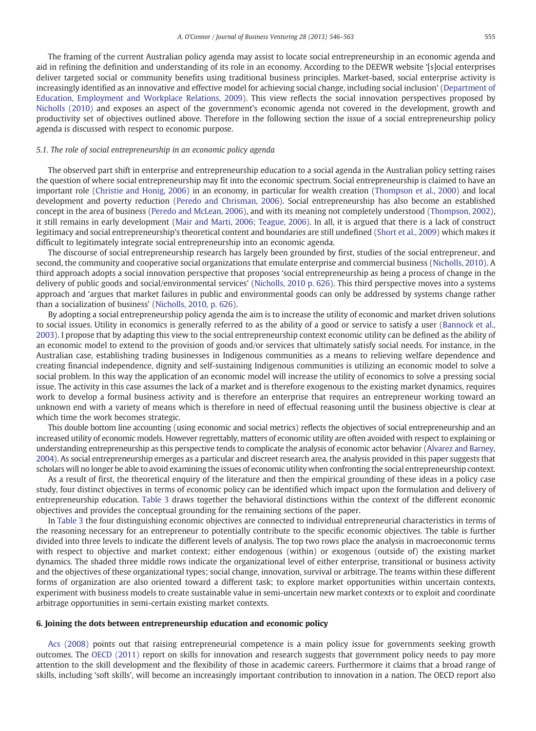The framing of the current Australian policy agenda may assist to locate social entrepreneurship in an economic agenda and aid in refining the definition and understanding of its role in an economy. According to the DEEWR website '[s]ocial enterprises deliver targeted social or community benefits using traditional business principles. Market-based, social enterprise activity is increasingly identified as an innovative and effective model for achieving social change, including social inclusion' [\(Department of](#page-15-0) [Education, Employment and Workplace Relations, 2009](#page-15-0)). This view reflects the social innovation perspectives proposed by [Nicholls \(2010\)](#page-17-0) and exposes an aspect of the government's economic agenda not covered in the development, growth and productivity set of objectives outlined above. Therefore in the following section the issue of a social entrepreneurship policy agenda is discussed with respect to economic purpose.

#### 5.1. The role of social entrepreneurship in an economic policy agenda

The observed part shift in enterprise and entrepreneurship education to a social agenda in the Australian policy setting raises the question of where social entrepreneurship may fit into the economic spectrum. Social entrepreneurship is claimed to have an important role [\(Christie and Honig, 2006](#page-15-0)) in an economy, in particular for wealth creation ([Thompson et al., 2000](#page-17-0)) and local development and poverty reduction [\(Peredo and Chrisman, 2006\)](#page-17-0). Social entrepreneurship has also become an established concept in the area of business ([Peredo and McLean, 2006\)](#page-17-0), and with its meaning not completely understood [\(Thompson, 2002\)](#page-17-0), it still remains in early development [\(Mair and Marti, 2006; Teague, 2006](#page-16-0)). In all, it is argued that there is a lack of construct legitimacy and social entrepreneurship's theoretical content and boundaries are still undefined [\(Short et al., 2009](#page-17-0)) which makes it difficult to legitimately integrate social entrepreneurship into an economic agenda.

The discourse of social entrepreneurship research has largely been grounded by first, studies of the social entrepreneur, and second, the community and cooperative social organizations that emulate enterprise and commercial business ([Nicholls, 2010\)](#page-17-0). A third approach adopts a social innovation perspective that proposes 'social entrepreneurship as being a process of change in the delivery of public goods and social/environmental services' [\(Nicholls, 2010 p. 626](#page-17-0)). This third perspective moves into a systems approach and 'argues that market failures in public and environmental goods can only be addressed by systems change rather than a socialization of business' ([Nicholls, 2010, p. 626](#page-17-0)).

By adopting a social entrepreneurship policy agenda the aim is to increase the utility of economic and market driven solutions to social issues. Utility in economics is generally referred to as the ability of a good or service to satisfy a user ([Bannock et al.,](#page-15-0) [2003](#page-15-0)). I propose that by adapting this view to the social entrepreneurship context economic utility can be defined as the ability of an economic model to extend to the provision of goods and/or services that ultimately satisfy social needs. For instance, in the Australian case, establishing trading businesses in Indigenous communities as a means to relieving welfare dependence and creating financial independence, dignity and self-sustaining Indigenous communities is utilizing an economic model to solve a social problem. In this way the application of an economic model will increase the utility of economics to solve a pressing social issue. The activity in this case assumes the lack of a market and is therefore exogenous to the existing market dynamics, requires work to develop a formal business activity and is therefore an enterprise that requires an entrepreneur working toward an unknown end with a variety of means which is therefore in need of effectual reasoning until the business objective is clear at which time the work becomes strategic.

This double bottom line accounting (using economic and social metrics) reflects the objectives of social entrepreneurship and an increased utility of economic models. However regrettably, matters of economic utility are often avoided with respect to explaining or understanding entrepreneurship as this perspective tends to complicate the analysis of economic actor behavior ([Alvarez and Barney,](#page-15-0) [2004\)](#page-15-0). As social entrepreneurship emerges as a particular and discreet research area, the analysis provided in this paper suggests that scholars will no longer be able to avoid examining the issues of economic utility when confronting the social entrepreneurship context.

As a result of first, the theoretical enquiry of the literature and then the empirical grounding of these ideas in a policy case study, four distinct objectives in terms of economic policy can be identified which impact upon the formulation and delivery of entrepreneurship education. [Table 3](#page-10-0) draws together the behavioral distinctions within the context of the different economic objectives and provides the conceptual grounding for the remaining sections of the paper.

In [Table 3](#page-10-0) the four distinguishing economic objectives are connected to individual entrepreneurial characteristics in terms of the reasoning necessary for an entrepreneur to potentially contribute to the specific economic objectives. The table is further divided into three levels to indicate the different levels of analysis. The top two rows place the analysis in macroeconomic terms with respect to objective and market context; either endogenous (within) or exogenous (outside of) the existing market dynamics. The shaded three middle rows indicate the organizational level of either enterprise, transitional or business activity and the objectives of these organizational types; social change, innovation, survival or arbitrage. The teams within these different forms of organization are also oriented toward a different task; to explore market opportunities within uncertain contexts, experiment with business models to create sustainable value in semi-uncertain new market contexts or to exploit and coordinate arbitrage opportunities in semi-certain existing market contexts.

#### 6. Joining the dots between entrepreneurship education and economic policy

[Acs \(2008\)](#page-15-0) points out that raising entrepreneurial competence is a main policy issue for governments seeking growth outcomes. The [OECD \(2011\)](#page-17-0) report on skills for innovation and research suggests that government policy needs to pay more attention to the skill development and the flexibility of those in academic careers. Furthermore it claims that a broad range of skills, including 'soft skills', will become an increasingly important contribution to innovation in a nation. The OECD report also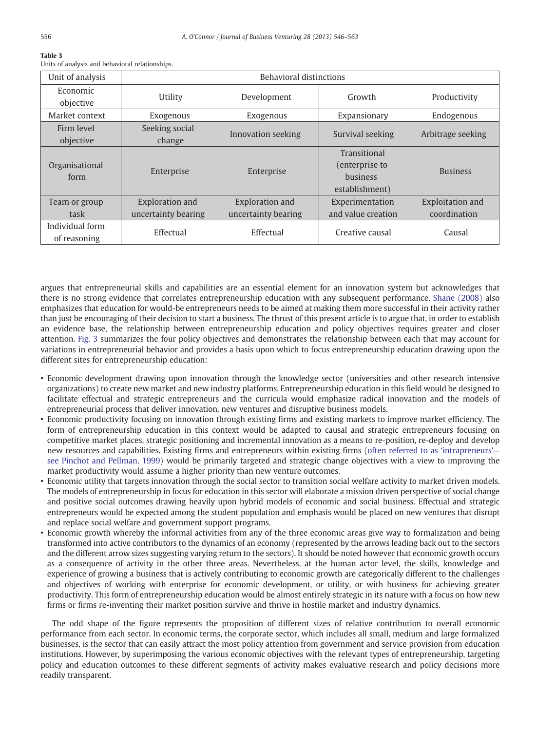<span id="page-10-0"></span>

| Table 3 |                                                 |
|---------|-------------------------------------------------|
|         | Units of analysis and behavioral relationships. |

| Unit of analysis                | <b>Behavioral distinctions</b>         |                                        |                                                              |                                  |  |
|---------------------------------|----------------------------------------|----------------------------------------|--------------------------------------------------------------|----------------------------------|--|
| Economic<br>objective           | Utility                                | Development                            | Growth                                                       | Productivity                     |  |
| Market context                  | Exogenous                              | Exogenous                              | Expansionary                                                 | Endogenous                       |  |
| Firm level<br>objective         | Seeking social<br>change               | Innovation seeking                     | Survival seeking                                             | Arbitrage seeking                |  |
| Organisational<br>form          | Enterprise                             | Enterprise                             | Transitional<br>(enterprise to<br>business<br>establishment) | <b>Business</b>                  |  |
| Team or group<br>task           | Exploration and<br>uncertainty bearing | Exploration and<br>uncertainty bearing | Experimentation<br>and value creation                        | Exploitation and<br>coordination |  |
| Individual form<br>of reasoning | Effectual                              | Effectual                              | Creative causal                                              | Causal                           |  |

argues that entrepreneurial skills and capabilities are an essential element for an innovation system but acknowledges that there is no strong evidence that correlates entrepreneurship education with any subsequent performance. [Shane \(2008\)](#page-17-0) also emphasizes that education for would-be entrepreneurs needs to be aimed at making them more successful in their activity rather than just be encouraging of their decision to start a business. The thrust of this present article is to argue that, in order to establish an evidence base, the relationship between entrepreneurship education and policy objectives requires greater and closer attention. [Fig. 3](#page-11-0) summarizes the four policy objectives and demonstrates the relationship between each that may account for variations in entrepreneurial behavior and provides a basis upon which to focus entrepreneurship education drawing upon the different sites for entrepreneurship education:

- Economic development drawing upon innovation through the knowledge sector (universities and other research intensive organizations) to create new market and new industry platforms. Entrepreneurship education in this field would be designed to facilitate effectual and strategic entrepreneurs and the curricula would emphasize radical innovation and the models of entrepreneurial process that deliver innovation, new ventures and disruptive business models.
- Economic productivity focusing on innovation through existing firms and existing markets to improve market efficiency. The form of entrepreneurship education in this context would be adapted to causal and strategic entrepreneurs focusing on competitive market places, strategic positioning and incremental innovation as a means to re-position, re-deploy and develop new resources and capabilities. Existing firms and entrepreneurs within existing firms [\(often referred to as](#page-17-0) 'intrapreneurs' [see Pinchot and Pellman, 1999\)](#page-17-0) would be primarily targeted and strategic change objectives with a view to improving the market productivity would assume a higher priority than new venture outcomes.
- Economic utility that targets innovation through the social sector to transition social welfare activity to market driven models. The models of entrepreneurship in focus for education in this sector will elaborate a mission driven perspective of social change and positive social outcomes drawing heavily upon hybrid models of economic and social business. Effectual and strategic entrepreneurs would be expected among the student population and emphasis would be placed on new ventures that disrupt and replace social welfare and government support programs.
- Economic growth whereby the informal activities from any of the three economic areas give way to formalization and being transformed into active contributors to the dynamics of an economy (represented by the arrows leading back out to the sectors and the different arrow sizes suggesting varying return to the sectors). It should be noted however that economic growth occurs as a consequence of activity in the other three areas. Nevertheless, at the human actor level, the skills, knowledge and experience of growing a business that is actively contributing to economic growth are categorically different to the challenges and objectives of working with enterprise for economic development, or utility, or with business for achieving greater productivity. This form of entrepreneurship education would be almost entirely strategic in its nature with a focus on how new firms or firms re-inventing their market position survive and thrive in hostile market and industry dynamics.

The odd shape of the figure represents the proposition of different sizes of relative contribution to overall economic performance from each sector. In economic terms, the corporate sector, which includes all small, medium and large formalized businesses, is the sector that can easily attract the most policy attention from government and service provision from education institutions. However, by superimposing the various economic objectives with the relevant types of entrepreneurship, targeting policy and education outcomes to these different segments of activity makes evaluative research and policy decisions more readily transparent.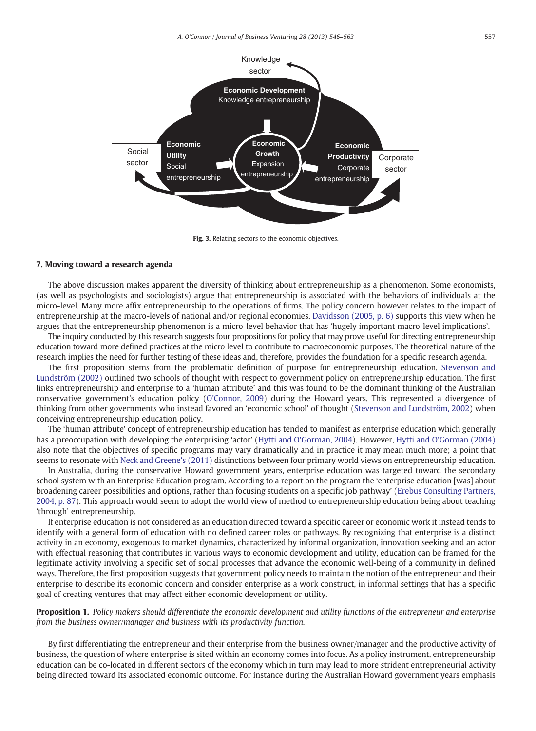<span id="page-11-0"></span>

Fig. 3. Relating sectors to the economic objectives.

#### 7. Moving toward a research agenda

The above discussion makes apparent the diversity of thinking about entrepreneurship as a phenomenon. Some economists, (as well as psychologists and sociologists) argue that entrepreneurship is associated with the behaviors of individuals at the micro-level. Many more affix entrepreneurship to the operations of firms. The policy concern however relates to the impact of entrepreneurship at the macro-levels of national and/or regional economies. [Davidsson \(2005, p. 6\)](#page-15-0) supports this view when he argues that the entrepreneurship phenomenon is a micro-level behavior that has 'hugely important macro-level implications'.

The inquiry conducted by this research suggests four propositions for policy that may prove useful for directing entrepreneurship education toward more defined practices at the micro level to contribute to macroeconomic purposes. The theoretical nature of the research implies the need for further testing of these ideas and, therefore, provides the foundation for a specific research agenda.

The first proposition stems from the problematic definition of purpose for entrepreneurship education. [Stevenson and](#page-17-0) [Lundström \(2002\)](#page-17-0) outlined two schools of thought with respect to government policy on entrepreneurship education. The first links entrepreneurship and enterprise to a 'human attribute' and this was found to be the dominant thinking of the Australian conservative government's education policy ([O'Connor, 2009\)](#page-17-0) during the Howard years. This represented a divergence of thinking from other governments who instead favored an 'economic school' of thought ([Stevenson and Lundström, 2002\)](#page-17-0) when conceiving entrepreneurship education policy.

The 'human attribute' concept of entrepreneurship education has tended to manifest as enterprise education which generally has a preoccupation with developing the enterprising 'actor' [\(Hytti and O'Gorman, 2004\)](#page-16-0). However, [Hytti and O'Gorman \(2004\)](#page-16-0) also note that the objectives of specific programs may vary dramatically and in practice it may mean much more; a point that seems to resonate with [Neck and Greene's \(2011\)](#page-17-0) distinctions between four primary world views on entrepreneurship education.

In Australia, during the conservative Howard government years, enterprise education was targeted toward the secondary school system with an Enterprise Education program. According to a report on the program the 'enterprise education [was] about broadening career possibilities and options, rather than focusing students on a specific job pathway' ([Erebus Consulting Partners,](#page-16-0) [2004, p. 87\)](#page-16-0). This approach would seem to adopt the world view of method to entrepreneurship education being about teaching 'through' entrepreneurship.

If enterprise education is not considered as an education directed toward a specific career or economic work it instead tends to identify with a general form of education with no defined career roles or pathways. By recognizing that enterprise is a distinct activity in an economy, exogenous to market dynamics, characterized by informal organization, innovation seeking and an actor with effectual reasoning that contributes in various ways to economic development and utility, education can be framed for the legitimate activity involving a specific set of social processes that advance the economic well-being of a community in defined ways. Therefore, the first proposition suggests that government policy needs to maintain the notion of the entrepreneur and their enterprise to describe its economic concern and consider enterprise as a work construct, in informal settings that has a specific goal of creating ventures that may affect either economic development or utility.

**Proposition 1.** Policy makers should differentiate the economic development and utility functions of the entrepreneur and enterprise from the business owner/manager and business with its productivity function.

By first differentiating the entrepreneur and their enterprise from the business owner/manager and the productive activity of business, the question of where enterprise is sited within an economy comes into focus. As a policy instrument, entrepreneurship education can be co-located in different sectors of the economy which in turn may lead to more strident entrepreneurial activity being directed toward its associated economic outcome. For instance during the Australian Howard government years emphasis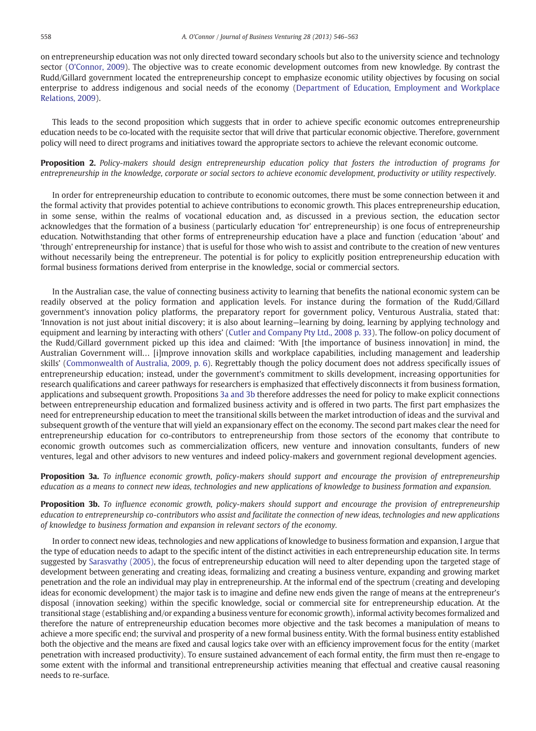on entrepreneurship education was not only directed toward secondary schools but also to the university science and technology sector ([O'Connor, 2009\)](#page-17-0). The objective was to create economic development outcomes from new knowledge. By contrast the Rudd/Gillard government located the entrepreneurship concept to emphasize economic utility objectives by focusing on social enterprise to address indigenous and social needs of the economy ([Department of Education, Employment and Workplace](#page-15-0) [Relations, 2009\)](#page-15-0).

This leads to the second proposition which suggests that in order to achieve specific economic outcomes entrepreneurship education needs to be co-located with the requisite sector that will drive that particular economic objective. Therefore, government policy will need to direct programs and initiatives toward the appropriate sectors to achieve the relevant economic outcome.

**Proposition 2.** Policy-makers should design entrepreneurship education policy that fosters the introduction of programs for entrepreneurship in the knowledge, corporate or social sectors to achieve economic development, productivity or utility respectively.

In order for entrepreneurship education to contribute to economic outcomes, there must be some connection between it and the formal activity that provides potential to achieve contributions to economic growth. This places entrepreneurship education, in some sense, within the realms of vocational education and, as discussed in a previous section, the education sector acknowledges that the formation of a business (particularly education 'for' entrepreneurship) is one focus of entrepreneurship education. Notwithstanding that other forms of entrepreneurship education have a place and function (education 'about' and 'through' entrepreneurship for instance) that is useful for those who wish to assist and contribute to the creation of new ventures without necessarily being the entrepreneur. The potential is for policy to explicitly position entrepreneurship education with formal business formations derived from enterprise in the knowledge, social or commercial sectors.

In the Australian case, the value of connecting business activity to learning that benefits the national economic system can be readily observed at the policy formation and application levels. For instance during the formation of the Rudd/Gillard government's innovation policy platforms, the preparatory report for government policy, Venturous Australia, stated that: 'Innovation is not just about initial discovery; it is also about learning—learning by doing, learning by applying technology and equipment and learning by interacting with others' [\(Cutler and Company Pty Ltd., 2008 p. 33](#page-15-0)). The follow-on policy document of the Rudd/Gillard government picked up this idea and claimed: 'With [the importance of business innovation] in mind, the Australian Government will… [i]mprove innovation skills and workplace capabilities, including management and leadership skills' [\(Commonwealth of Australia, 2009, p. 6\)](#page-15-0). Regrettably though the policy document does not address specifically issues of entrepreneurship education; instead, under the government's commitment to skills development, increasing opportunities for research qualifications and career pathways for researchers is emphasized that effectively disconnects it from business formation, applications and subsequent growth. Propositions 3a and 3b therefore addresses the need for policy to make explicit connections between entrepreneurship education and formalized business activity and is offered in two parts. The first part emphasizes the need for entrepreneurship education to meet the transitional skills between the market introduction of ideas and the survival and subsequent growth of the venture that will yield an expansionary effect on the economy. The second part makes clear the need for entrepreneurship education for co-contributors to entrepreneurship from those sectors of the economy that contribute to economic growth outcomes such as commercialization officers, new venture and innovation consultants, funders of new ventures, legal and other advisors to new ventures and indeed policy-makers and government regional development agencies.

**Proposition 3a.** To influence economic growth, policy-makers should support and encourage the provision of entrepreneurship education as a means to connect new ideas, technologies and new applications of knowledge to business formation and expansion.

Proposition 3b. To influence economic growth, policy-makers should support and encourage the provision of entrepreneurship education to entrepreneurship co-contributors who assist and facilitate the connection of new ideas, technologies and new applications of knowledge to business formation and expansion in relevant sectors of the economy.

In order to connect new ideas, technologies and new applications of knowledge to business formation and expansion, I argue that the type of education needs to adapt to the specific intent of the distinct activities in each entrepreneurship education site. In terms suggested by [Sarasvathy \(2005\)](#page-17-0), the focus of entrepreneurship education will need to alter depending upon the targeted stage of development between generating and creating ideas, formalizing and creating a business venture, expanding and growing market penetration and the role an individual may play in entrepreneurship. At the informal end of the spectrum (creating and developing ideas for economic development) the major task is to imagine and define new ends given the range of means at the entrepreneur's disposal (innovation seeking) within the specific knowledge, social or commercial site for entrepreneurship education. At the transitional stage (establishing and/or expanding a business venture for economic growth), informal activity becomes formalized and therefore the nature of entrepreneurship education becomes more objective and the task becomes a manipulation of means to achieve a more specific end; the survival and prosperity of a new formal business entity. With the formal business entity established both the objective and the means are fixed and causal logics take over with an efficiency improvement focus for the entity (market penetration with increased productivity). To ensure sustained advancement of each formal entity, the firm must then re-engage to some extent with the informal and transitional entrepreneurship activities meaning that effectual and creative causal reasoning needs to re-surface.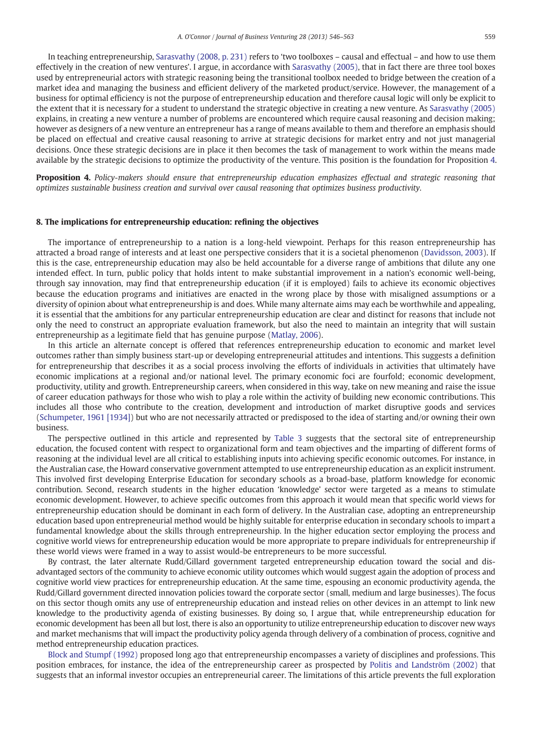In teaching entrepreneurship, [Sarasvathy \(2008, p. 231\)](#page-17-0) refers to 'two toolboxes – causal and effectual – and how to use them effectively in the creation of new ventures'. I argue, in accordance with [Sarasvathy \(2005\),](#page-17-0) that in fact there are three tool boxes used by entrepreneurial actors with strategic reasoning being the transitional toolbox needed to bridge between the creation of a market idea and managing the business and efficient delivery of the marketed product/service. However, the management of a business for optimal efficiency is not the purpose of entrepreneurship education and therefore causal logic will only be explicit to the extent that it is necessary for a student to understand the strategic objective in creating a new venture. As [Sarasvathy \(2005\)](#page-17-0) explains, in creating a new venture a number of problems are encountered which require causal reasoning and decision making; however as designers of a new venture an entrepreneur has a range of means available to them and therefore an emphasis should be placed on effectual and creative causal reasoning to arrive at strategic decisions for market entry and not just managerial decisions. Once these strategic decisions are in place it then becomes the task of management to work within the means made available by the strategic decisions to optimize the productivity of the venture. This position is the foundation for Proposition 4.

Proposition 4. Policy-makers should ensure that entrepreneurship education emphasizes effectual and strategic reasoning that optimizes sustainable business creation and survival over causal reasoning that optimizes business productivity.

#### 8. The implications for entrepreneurship education: refining the objectives

The importance of entrepreneurship to a nation is a long-held viewpoint. Perhaps for this reason entrepreneurship has attracted a broad range of interests and at least one perspective considers that it is a societal phenomenon ([Davidsson, 2003\)](#page-15-0). If this is the case, entrepreneurship education may also be held accountable for a diverse range of ambitions that dilute any one intended effect. In turn, public policy that holds intent to make substantial improvement in a nation's economic well-being, through say innovation, may find that entrepreneurship education (if it is employed) fails to achieve its economic objectives because the education programs and initiatives are enacted in the wrong place by those with misaligned assumptions or a diversity of opinion about what entrepreneurship is and does. While many alternate aims may each be worthwhile and appealing, it is essential that the ambitions for any particular entrepreneurship education are clear and distinct for reasons that include not only the need to construct an appropriate evaluation framework, but also the need to maintain an integrity that will sustain entrepreneurship as a legitimate field that has genuine purpose [\(Matlay, 2006\)](#page-16-0).

In this article an alternate concept is offered that references entrepreneurship education to economic and market level outcomes rather than simply business start-up or developing entrepreneurial attitudes and intentions. This suggests a definition for entrepreneurship that describes it as a social process involving the efforts of individuals in activities that ultimately have economic implications at a regional and/or national level. The primary economic foci are fourfold; economic development, productivity, utility and growth. Entrepreneurship careers, when considered in this way, take on new meaning and raise the issue of career education pathways for those who wish to play a role within the activity of building new economic contributions. This includes all those who contribute to the creation, development and introduction of market disruptive goods and services [\(Schumpeter, 1961 \[1934\]](#page-17-0)) but who are not necessarily attracted or predisposed to the idea of starting and/or owning their own business.

The perspective outlined in this article and represented by [Table 3](#page-10-0) suggests that the sectoral site of entrepreneurship education, the focused content with respect to organizational form and team objectives and the imparting of different forms of reasoning at the individual level are all critical to establishing inputs into achieving specific economic outcomes. For instance, in the Australian case, the Howard conservative government attempted to use entrepreneurship education as an explicit instrument. This involved first developing Enterprise Education for secondary schools as a broad-base, platform knowledge for economic contribution. Second, research students in the higher education 'knowledge' sector were targeted as a means to stimulate economic development. However, to achieve specific outcomes from this approach it would mean that specific world views for entrepreneurship education should be dominant in each form of delivery. In the Australian case, adopting an entrepreneurship education based upon entrepreneurial method would be highly suitable for enterprise education in secondary schools to impart a fundamental knowledge about the skills through entrepreneurship. In the higher education sector employing the process and cognitive world views for entrepreneurship education would be more appropriate to prepare individuals for entrepreneurship if these world views were framed in a way to assist would-be entrepreneurs to be more successful.

By contrast, the later alternate Rudd/Gillard government targeted entrepreneurship education toward the social and disadvantaged sectors of the community to achieve economic utility outcomes which would suggest again the adoption of process and cognitive world view practices for entrepreneurship education. At the same time, espousing an economic productivity agenda, the Rudd/Gillard government directed innovation policies toward the corporate sector (small, medium and large businesses). The focus on this sector though omits any use of entrepreneurship education and instead relies on other devices in an attempt to link new knowledge to the productivity agenda of existing businesses. By doing so, I argue that, while entrepreneurship education for economic development has been all but lost, there is also an opportunity to utilize entrepreneurship education to discover new ways and market mechanisms that will impact the productivity policy agenda through delivery of a combination of process, cognitive and method entrepreneurship education practices.

[Block and Stumpf \(1992\)](#page-15-0) proposed long ago that entrepreneurship encompasses a variety of disciplines and professions. This position embraces, for instance, the idea of the entrepreneurship career as prospected by [Politis and Landström \(2002\)](#page-17-0) that suggests that an informal investor occupies an entrepreneurial career. The limitations of this article prevents the full exploration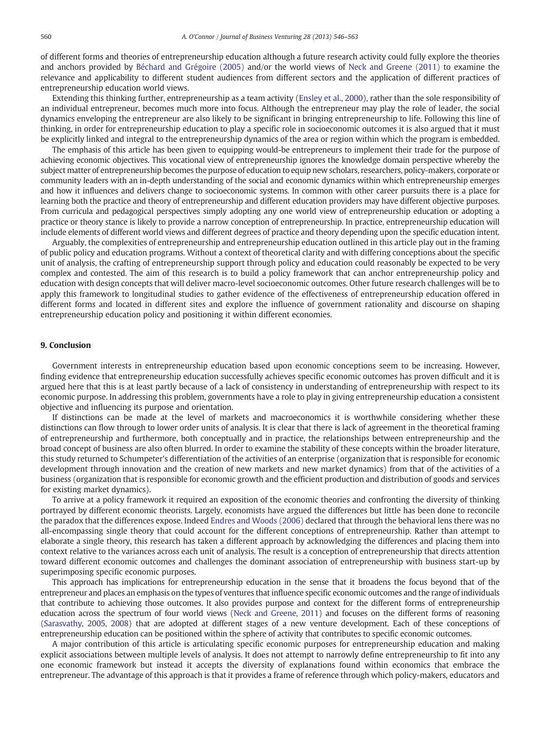of different forms and theories of entrepreneurship education although a future research activity could fully explore the theories and anchors provided by [Béchard and Grégoire \(2005\)](#page-15-0) and/or the world views of [Neck and Greene \(2011\)](#page-17-0) to examine the relevance and applicability to different student audiences from different sectors and the application of different practices of entrepreneurship education world views.

Extending this thinking further, entrepreneurship as a team activity ([Ensley et al., 2000\)](#page-16-0), rather than the sole responsibility of an individual entrepreneur, becomes much more into focus. Although the entrepreneur may play the role of leader, the social dynamics enveloping the entrepreneur are also likely to be significant in bringing entrepreneurship to life. Following this line of thinking, in order for entrepreneurship education to play a specific role in socioeconomic outcomes it is also argued that it must be explicitly linked and integral to the entrepreneurship dynamics of the area or region within which the program is embedded.

The emphasis of this article has been given to equipping would-be entrepreneurs to implement their trade for the purpose of achieving economic objectives. This vocational view of entrepreneurship ignores the knowledge domain perspective whereby the subject matter of entrepreneurship becomes the purpose of education to equip new scholars, researchers, policy-makers, corporate or community leaders with an in-depth understanding of the social and economic dynamics within which entrepreneurship emerges and how it influences and delivers change to socioeconomic systems. In common with other career pursuits there is a place for learning both the practice and theory of entrepreneurship and different education providers may have different objective purposes. From curricula and pedagogical perspectives simply adopting any one world view of entrepreneurship education or adopting a practice or theory stance is likely to provide a narrow conception of entrepreneurship. In practice, entrepreneurship education will include elements of different world views and different degrees of practice and theory depending upon the specific education intent.

Arguably, the complexities of entrepreneurship and entrepreneurship education outlined in this article play out in the framing of public policy and education programs. Without a context of theoretical clarity and with differing conceptions about the specific unit of analysis, the crafting of entrepreneurship support through policy and education could reasonably be expected to be very complex and contested. The aim of this research is to build a policy framework that can anchor entrepreneurship policy and education with design concepts that will deliver macro-level socioeconomic outcomes. Other future research challenges will be to apply this framework to longitudinal studies to gather evidence of the effectiveness of entrepreneurship education offered in different forms and located in different sites and explore the influence of government rationality and discourse on shaping entrepreneurship education policy and positioning it within different economies.

#### 9. Conclusion

Government interests in entrepreneurship education based upon economic conceptions seem to be increasing. However, finding evidence that entrepreneurship education successfully achieves specific economic outcomes has proven difficult and it is argued here that this is at least partly because of a lack of consistency in understanding of entrepreneurship with respect to its economic purpose. In addressing this problem, governments have a role to play in giving entrepreneurship education a consistent objective and influencing its purpose and orientation.

If distinctions can be made at the level of markets and macroeconomics it is worthwhile considering whether these distinctions can flow through to lower order units of analysis. It is clear that there is lack of agreement in the theoretical framing of entrepreneurship and furthermore, both conceptually and in practice, the relationships between entrepreneurship and the broad concept of business are also often blurred. In order to examine the stability of these concepts within the broader literature, this study returned to Schumpeter's differentiation of the activities of an enterprise (organization that is responsible for economic development through innovation and the creation of new markets and new market dynamics) from that of the activities of a business (organization that is responsible for economic growth and the efficient production and distribution of goods and services for existing market dynamics).

To arrive at a policy framework it required an exposition of the economic theories and confronting the diversity of thinking portrayed by different economic theorists. Largely, economists have argued the differences but little has been done to reconcile the paradox that the differences expose. Indeed [Endres and Woods \(2006\)](#page-16-0) declared that through the behavioral lens there was no all-encompassing single theory that could account for the different conceptions of entrepreneurship. Rather than attempt to elaborate a single theory, this research has taken a different approach by acknowledging the differences and placing them into context relative to the variances across each unit of analysis. The result is a conception of entrepreneurship that directs attention toward different economic outcomes and challenges the dominant association of entrepreneurship with business start-up by superimposing specific economic purposes.

This approach has implications for entrepreneurship education in the sense that it broadens the focus beyond that of the entrepreneur and places an emphasis on the types of ventures that influence specific economic outcomes and the range of individuals that contribute to achieving those outcomes. It also provides purpose and context for the different forms of entrepreneurship education across the spectrum of four world views [\(Neck and Greene, 2011\)](#page-17-0) and focuses on the different forms of reasoning ([Sarasvathy, 2005, 2008](#page-17-0)) that are adopted at different stages of a new venture development. Each of these conceptions of entrepreneurship education can be positioned within the sphere of activity that contributes to specific economic outcomes.

A major contribution of this article is articulating specific economic purposes for entrepreneurship education and making explicit associations between multiple levels of analysis. It does not attempt to narrowly define entrepreneurship to fit into any one economic framework but instead it accepts the diversity of explanations found within economics that embrace the entrepreneur. The advantage of this approach is that it provides a frame of reference through which policy-makers, educators and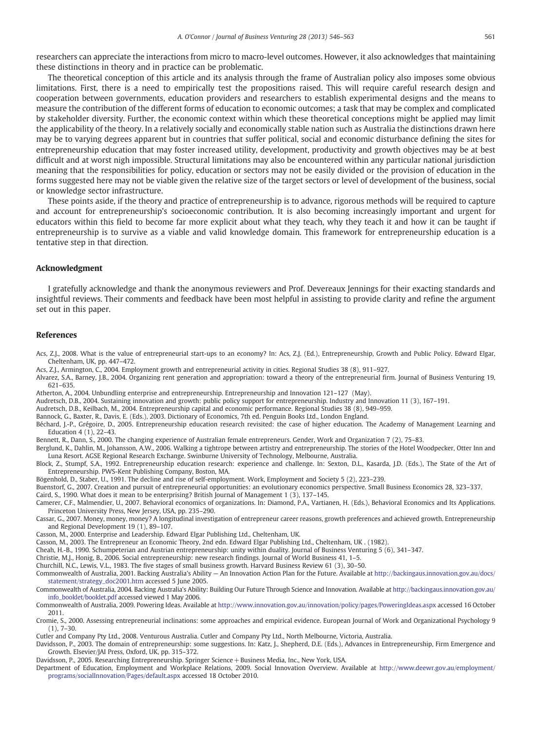<span id="page-15-0"></span>researchers can appreciate the interactions from micro to macro-level outcomes. However, it also acknowledges that maintaining these distinctions in theory and in practice can be problematic.

The theoretical conception of this article and its analysis through the frame of Australian policy also imposes some obvious limitations. First, there is a need to empirically test the propositions raised. This will require careful research design and cooperation between governments, education providers and researchers to establish experimental designs and the means to measure the contribution of the different forms of education to economic outcomes; a task that may be complex and complicated by stakeholder diversity. Further, the economic context within which these theoretical conceptions might be applied may limit the applicability of the theory. In a relatively socially and economically stable nation such as Australia the distinctions drawn here may be to varying degrees apparent but in countries that suffer political, social and economic disturbance defining the sites for entrepreneurship education that may foster increased utility, development, productivity and growth objectives may be at best difficult and at worst nigh impossible. Structural limitations may also be encountered within any particular national jurisdiction meaning that the responsibilities for policy, education or sectors may not be easily divided or the provision of education in the forms suggested here may not be viable given the relative size of the target sectors or level of development of the business, social or knowledge sector infrastructure.

These points aside, if the theory and practice of entrepreneurship is to advance, rigorous methods will be required to capture and account for entrepreneurship's socioeconomic contribution. It is also becoming increasingly important and urgent for educators within this field to become far more explicit about what they teach, why they teach it and how it can be taught if entrepreneurship is to survive as a viable and valid knowledge domain. This framework for entrepreneurship education is a tentative step in that direction.

#### Acknowledgment

I gratefully acknowledge and thank the anonymous reviewers and Prof. Devereaux Jennings for their exacting standards and insightful reviews. Their comments and feedback have been most helpful in assisting to provide clarity and refine the argument set out in this paper.

#### References

- Acs, Z.J., 2008. What is the value of entrepreneurial start-ups to an economy? In: Acs, Z.J. (Ed.), Entrepreneurship, Growth and Public Policy. Edward Elgar, Cheltenham, UK, pp. 447–472.
- Acs, Z.J., Armington, C., 2004. Employment growth and entrepreneurial activity in cities. Regional Studies 38 (8), 911–927.
- Alvarez, S.A., Barney, J.B., 2004. Organizing rent generation and appropriation: toward a theory of the entrepreneurial firm. Journal of Business Venturing 19, 621–635.
- Atherton, A., 2004. Unbundling enterprise and entrepreneurship. Entrepreneurship and Innovation 121–127 (May).
- Audretsch, D.B., 2004. Sustaining innovation and growth: public policy support for entrepreneurship. Industry and Innovation 11 (3), 167–191.
- Audretsch, D.B., Keilbach, M., 2004. Entrepreneurship capital and economic performance. Regional Studies 38 (8), 949–959.
- Bannock, G., Baxter, R., Davis, E. (Eds.), 2003. Dictionary of Economics, 7th ed. Penguin Books Ltd., London England.

Béchard, J.-P., Grégoire, D., 2005. Entrepreneurship education research revisited: the case of higher education. The Academy of Management Learning and Education 4 (1), 22–43.

- Bennett, R., Dann, S., 2000. The changing experience of Australian female entrepreneurs. Gender, Work and Organization 7 (2), 75–83.
- Berglund, K., Dahlin, M., Johansson, A.W., 2006. Walking a tightrope between artistry and entrepreneurship. The stories of the Hotel Woodpecker, Otter Inn and Luna Resort. AGSE Regional Research Exchange. Swinburne University of Technology, Melbourne, Australia.
- Block, Z., Stumpf, S.A., 1992. Entrepreneurship education research: experience and challenge. In: Sexton, D.L., Kasarda, J.D. (Eds.), The State of the Art of Entrepreneurship. PWS-Kent Publishing Company, Boston, MA.
- Bögenhold, D., Staber, U., 1991. The decline and rise of self-employment. Work, Employment and Society 5 (2), 223–239.
- Buenstorf, G., 2007. Creation and pursuit of entrepreneurial opportunities: an evolutionary economics perspective. Small Business Economics 28, 323–337.
- Caird, S., 1990. What does it mean to be enterprising? British Journal of Management 1 (3), 137–145.
- Camerer, C.F., Malmendier, U., 2007. Behavioral economics of organizations. In: Diamond, P.A., Vartianen, H. (Eds.), Behavioral Economics and Its Applications. Princeton University Press, New Jersey, USA, pp. 235–290.
- Cassar, G., 2007. Money, money, money? A longitudinal investigation of entrepreneur career reasons, growth preferences and achieved growth. Entrepreneurship and Regional Development 19 (1), 89–107.
- Casson, M., 2000. Enterprise and Leadership. Edward Elgar Publishing Ltd., Cheltenham, UK.
- Casson, M., 2003. The Entrepreneur an Economic Theory, 2nd edn. Edward Elgar Publishing Ltd., Cheltenham, UK . (1982).
- Cheah, H.-B., 1990. Schumpeterian and Austrian entrepreneurship: unity within duality. Journal of Business Venturing 5 (6), 341–347.
- Christie, M.J., Honig, B., 2006. Social entrepreneurship: new research findings. Journal of World Business 41, 1–5.
- Churchill, N.C., Lewis, V.L., 1983. The five stages of small business growth. Harvard Business Review 61 (3), 30–50.
- Commonwealth of Australia, 2001. Backing Australia's Ability An Innovation Action Plan for the Future. Available at [http://backingaus.innovation.gov.au/docs/](http://backingaus.innovation.gov.au/docs/statement/strategy_doc2001.htm) [statement/strategy\\_doc2001.htm](http://backingaus.innovation.gov.au/docs/statement/strategy_doc2001.htm) accessed 5 June 2005.
- Commonwealth of Australia, 2004. Backing Australia's Ability: Building Our Future Through Science and Innovation. Available at [http://backingaus.innovation.gov.au/](http://backingaus.innovation.gov.au/info_booklet/booklet.pdf) [info\\_booklet/booklet.pdf](http://backingaus.innovation.gov.au/info_booklet/booklet.pdf) accessed viewed 1 May 2006.
- Commonwealth of Australia, 2009. Powering Ideas. Available at <http://www.innovation.gov.au/innovation/policy/pages/PoweringIdeas.aspx> accessed 16 October 2011.
- Cromie, S., 2000. Assessing entrepreneurial inclinations: some approaches and empirical evidence. European Journal of Work and Organizational Psychology 9  $(1)$ , 7–30.
- Cutler and Company Pty Ltd., 2008. Venturous Australia. Cutler and Company Pty Ltd., North Melbourne, Victoria, Australia.
- Davidsson, P., 2003. The domain of entrepreneurship: some suggestions. In: Katz, J., Shepherd, D.E. (Eds.), Advances in Entrepreneurship, Firm Emergence and Growth. Elsevier/JAI Press, Oxford, UK, pp. 315–372.
- Davidsson, P., 2005. Researching Entrepreneurship. Springer Science+Business Media, Inc., New York, USA.
- Department of Education, Employment and Workplace Relations, 2009. Social Innovation Overview. Available at [http://www.deewr.gov.au/employment/](http://www.deewr.gov.au/employment/programs/socialInnovation/Pages/default.aspx) [programs/socialInnovation/Pages/default.aspx](http://www.deewr.gov.au/employment/programs/socialInnovation/Pages/default.aspx) accessed 18 October 2010.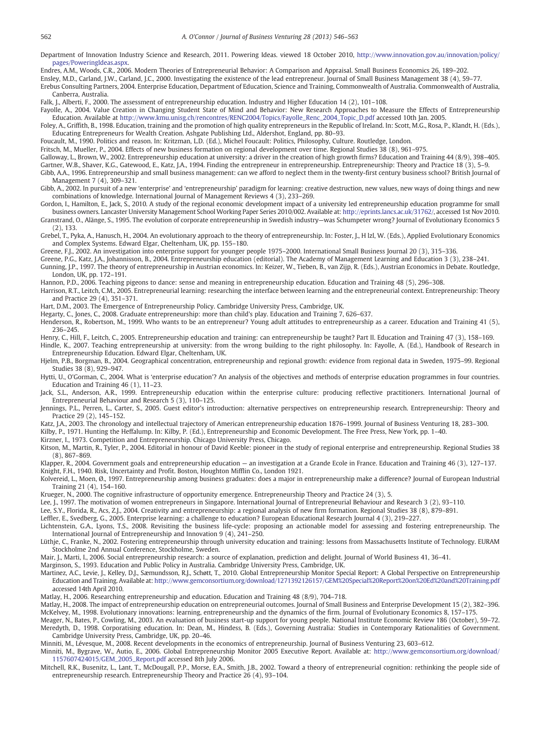<span id="page-16-0"></span>Department of Innovation Industry Science and Research, 2011. Powering Ideas. viewed 18 October 2010, [http://www.innovation.gov.au/innovation/policy/](http://www.innovation.gov.au/innovation/policy/pages/PoweringIdeas.aspx) [pages/PoweringIdeas.aspx.](http://www.innovation.gov.au/innovation/policy/pages/PoweringIdeas.aspx)

Endres, A.M., Woods, C.R., 2006. Modern Theories of Entrepreneurial Behavior: A Comparison and Appraisal. Small Business Economics 26, 189–202.

Ensley, M.D., Carland, J.W., Carland, J.C., 2000. Investigating the existence of the lead entrepreneur. Journal of Small Business Management 38 (4), 59–77. Erebus Consulting Partners, 2004. Enterprise Education, Department of Education, Science and Training, Commonwealth of Australia. Commonwealth of Australia, Canberra, Australia.

Falk, J., Alberti, F., 2000. The assessment of entrepreneurship education. Industry and Higher Education 14 (2), 101–108.

Fayolle, A., 2004. Value Creation in Changing Student State of Mind and Behavior: New Research Approaches to Measure the Effects of Entrepreneurship Education. Available at [http://www.kmu.unisg.ch/rencontres/RENC2004/Topics/Fayolle\\_Renc\\_2004\\_Topic\\_D.pdf](http://www.kmu.unisg.ch/rencontres/RENC2004/Topics/Fayolle_Renc_2004_Topic_D.pdf) accessed 10th Jan. 2005.

Foley, A., Griffith, B., 1998. Education, training and the promotion of high quality entrepreneurs in the Republic of Ireland. In: Scott, M.G., Rosa, P., Klandt, H. (Eds.), Educating Entrepreneurs for Wealth Creation. Ashgate Publishing Ltd., Aldershot, England, pp. 80–93.

Foucault, M., 1990. Politics and reason. In: Kritzman, L.D. (Ed.), Michel Foucault: Politics, Philosophy, Culture. Routledge, London.

Fritsch, M., Mueller, P., 2004. Effects of new business formation on regional development over time. Regional Studies 38 (8), 961–975.

Galloway, L., Brown, W., 2002. Entrepreneurship education at university: a driver in the creation of high growth firms? Education and Training 44 (8/9), 398–405. Gartner, W.B., Shaver, K.G., Gatewood, E., Katz, J.A., 1994. Finding the entrepreneur in entrepreneurship. Entrepreneurship: Theory and Practice 18 (3), 5–9. Gibb, A.A., 1996. Entrepreneurship and small business management: can we afford to neglect them in the twenty-first century business school? British Journal of

Management 7 (4), 309–321. Gibb, A., 2002. In pursuit of a new 'enterprise' and 'entrepreneurship' paradigm for learning: creative destruction, new values, new ways of doing things and new combinations of knowledge. International Journal of Management Reviews 4 (3), 233–269.

Gordon, I., Hamilton, E., Jack, S., 2010. A study of the regional economic development impact of a university led entrepreneurship education programme for small

business owners. Lancaster University Management School Working Paper Series 2010/002. Available at: <http://eprints.lancs.ac.uk/31762/>, accessed 1st Nov 2010. Granstrand, O., Alänge, S., 1995. The evolution of corporate entrepreneurship in Swedish industry—was Schumpeter wrong? Journal of Evolutionary Economics 5 (2), 133.

Grebel, T., Pyka, A., Hanusch, H., 2004. An evolutionary approach to the theory of entrepreneurship. In: Foster, J., H lzl, W. (Eds.), Applied Evolutionary Economics and Complex Systems. Edward Elgar, Cheltenham, UK, pp. 155–180.

Greene, F.J., 2002. An investigation into enterprise support for younger people 1975–2000. International Small Business Journal 20 (3), 315–336.

Greene, P.G., Katz, J.A., Johannisson, B., 2004. Entrepreneurship education (editorial). The Academy of Management Learning and Education 3 (3), 238–241.

Gunning, J.P., 1997. The theory of entrepreneurship in Austrian economics. In: Keizer, W., Tieben, B., van Zijp, R. (Eds.), Austrian Economics in Debate. Routledge, London, UK, pp. 172–191.

Hannon, P.D., 2006. Teaching pigeons to dance: sense and meaning in entrepreneurship education. Education and Training 48 (5), 296–308.

Harrison, R.T., Leitch, C.M., 2005. Entrepreneurial learning: researching the interface between learning and the entrepreneurial context. Entrepreneurship: Theory and Practice 29 (4), 351–371.

Hart, D.M., 2003. The Emergence of Entrepreneurship Policy. Cambridge University Press, Cambridge, UK.

Hegarty, C., Jones, C., 2008. Graduate entrepreneurship: more than child's play. Education and Training 7, 626–637.

Henderson, R., Robertson, M., 1999. Who wants to be an entrepreneur? Young adult attitudes to entrepreneurship as a career. Education and Training 41 (5), 236–245.

Henry, C., Hill, F., Leitch, C., 2005. Entrepreneurship education and training: can entrepreneurship be taught? Part II. Education and Training 47 (3), 158–169. Hindle, K., 2007. Teaching entrepreneurship at university: from the wrong building to the right philosophy. In: Fayolle, A. (Ed.), Handbook of Research in

Entrepreneurship Education. Edward Elgar, Cheltenham, UK.

Hjelm, P.B., Borgman, B., 2004. Geographical concentration, entrepreneurship and regional growth: evidence from regional data in Sweden, 1975–99. Regional Studies 38 (8), 929–947.

Hytti, U., O'Gorman, C., 2004. What is 'enterprise education'? An analysis of the objectives and methods of enterprise education programmes in four countries. Education and Training 46 (1), 11–23.

Jack, S.L., Anderson, A.R., 1999. Entrepreneurship education within the enterprise culture: producing reflective practitioners. International Journal of Entrepreneurial Behaviour and Research 5 (3), 110–125.

Jennings, P.L., Perren, L., Carter, S., 2005. Guest editor's introduction: alternative perspectives on entrepreneurship research. Entrepreneurship: Theory and Practice 29 (2), 145–152.

Katz, J.A., 2003. The chronology and intellectual trajectory of American entrepreneurship education 1876–1999. Journal of Business Venturing 18, 283–300.

Kilby, P., 1971. Hunting the Heffalump. In: Kilby, P. (Ed.), Entrepreneurship and Economic Development. The Free Press, New York, pp. 1–40.

Kirzner, I., 1973. Competition and Entrepreneurship. Chicago University Press, Chicago.

Kitson, M., Martin, R., Tyler, P., 2004. Editorial in honour of David Keeble: pioneer in the study of regional enterprise and entrepreneurship. Regional Studies 38 (8), 867–869.

Klapper, R., 2004. Government goals and entrepreneurship education — an investigation at a Grande Ecole in France. Education and Training 46 (3), 127–137. Knight, F.H., 1940. Risk, Uncertainty and Profit. Boston, Houghton Mifflin Co., London 1921.

Kolvereid, L., Moen, Ø., 1997. Entrepreneurship among business graduates: does a major in entrepreneurship make a difference? Journal of European Industrial Training 21 (4), 154–160.

Krueger, N., 2000. The cognitive infrastructure of opportunity emergence. Entrepreneurship Theory and Practice 24 (3), 5.

Lee, J., 1997. The motivation of women entrepreneurs in Singapore. International Journal of Entrepreneurial Behaviour and Research 3 (2), 93–110.

Lee, S.Y., Florida, R., Acs, Z.J., 2004. Creativity and entrepreneurship: a regional analysis of new firm formation. Regional Studies 38 (8), 879–891.

Leffler, E., Svedberg, G., 2005. Enterprise learning: a challenge to education? European Educational Research Journal 4 (3), 219–227.

Lichtenstein, G.A., Lyons, T.S., 2008. Revisiting the business life-cycle: proposing an actionable model for assessing and fostering entrepreneurship. The International Journal of Entrepreneurship and Innovation 9 (4), 241–250.

Lüthje, C., Franke, N., 2002. Fostering entrepreneurship through university education and training: lessons from Massachusetts Institute of Technology. EURAM Stockholme 2nd Annual Conference, Stockholme, Sweden.

Mair, J., Marti, I., 2006. Social entrepreneurship research: a source of explanation, prediction and delight. Journal of World Business 41, 36–41.

Marginson, S., 1993. Education and Public Policy in Australia. Cambridge University Press, Cambridge, UK.

Martinez, A.C., Levie, J., Kelley, D.J., Sæmundsson, R.J., Schøtt, T., 2010. Global Entrepreneurship Monitor Special Report: A Global Perspective on Entrepreneurship Education and Training. Available at: <http://www.gemconsortium.org/download/1271392126157/GEM%20Special%20Report%20on%20Ed%20and%20Training.pdf> accessed 14th April 2010.

Matlay, H., 2006. Researching entrepreneurship and education. Education and Training 48 (8/9), 704–718.

Matlay, H., 2008. The impact of entrepreneurship education on entrepreneurial outcomes. Journal of Small Business and Enterprise Development 15 (2), 382–396. McKelvey, M., 1998. Evolutionary innovations: learning, entrepreneurship and the dynamics of the firm. Journal of Evolutionary Economics 8, 157–175.

Meager, N., Bates, P., Cowling, M., 2003. An evaluation of business start-up support for young people. National Institute Economic Review 186 (October), 59–72. Meredyth, D., 1998. Corporatising education. In: Dean, M., Hindess, B. (Eds.), Governing Australia: Studies in Contemporary Rationalities of Government. Cambridge University Press, Cambridge, UK, pp. 20–46.

Minniti, M., Lévesque, M., 2008. Recent developments in the economics of entrepreneurship. Journal of Business Venturing 23, 603–612.

Minniti, M., Bygrave, W., Autio, E., 2006. Global Entrepreneurship Monitor 2005 Executive Report. Available at: [http://www.gemconsortium.org/download/](http://www.gemconsortium.org/download/1157607424015/GEM_2005_Report.pdf) [1157607424015/GEM\\_2005\\_Report.pdf](http://www.gemconsortium.org/download/1157607424015/GEM_2005_Report.pdf) accessed 8th July 2006.

Mitchell, R.K., Busenitz, L., Lant, T., McDougall, P.P., Morse, E.A., Smith, J.B., 2002. Toward a theory of entrepreneurial cognition: rethinking the people side of entrepreneurship research. Entrepreneurship Theory and Practice 26 (4), 93–104.